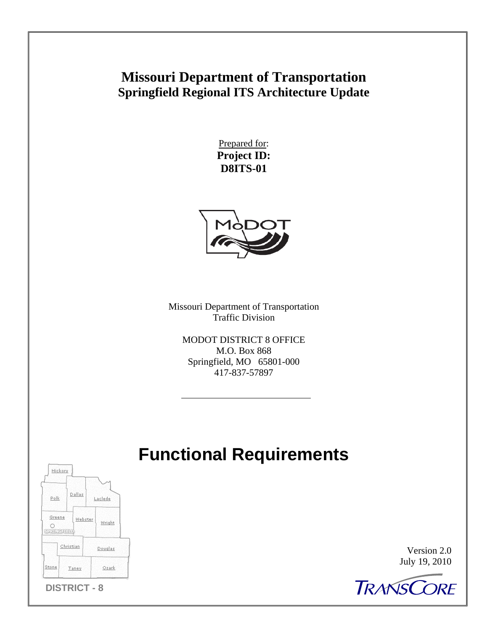# **Missouri Department of Transportation Springfield Regional ITS Architecture Update**

Prepared for: **Project ID: D8ITS-01** 



Missouri Department of Transportation Traffic Division

MODOT DISTRICT 8 OFFICE M.O. Box 868 Springfield, MO 65801-000 417-837-57897

# **Functional Requirements**



Version 2.0 July 19, 2010

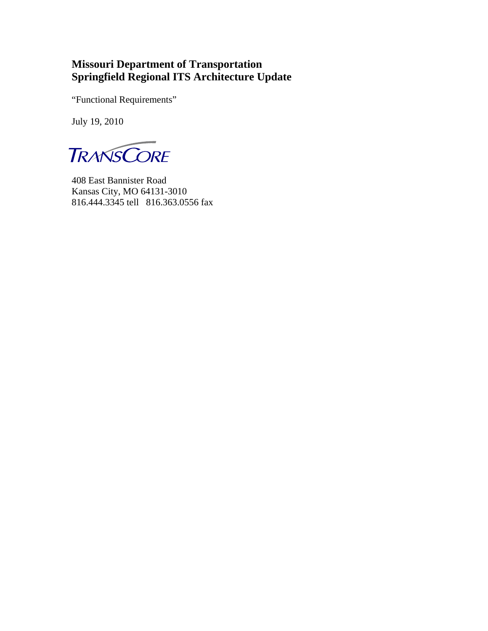# **Missouri Department of Transportation Springfield Regional ITS Architecture Update**

"Functional Requirements"

July 19, 2010

**TRANSCORE** 

408 East Bannister Road Kansas City, MO 64131-3010 816.444.3345 tell 816.363.0556 fax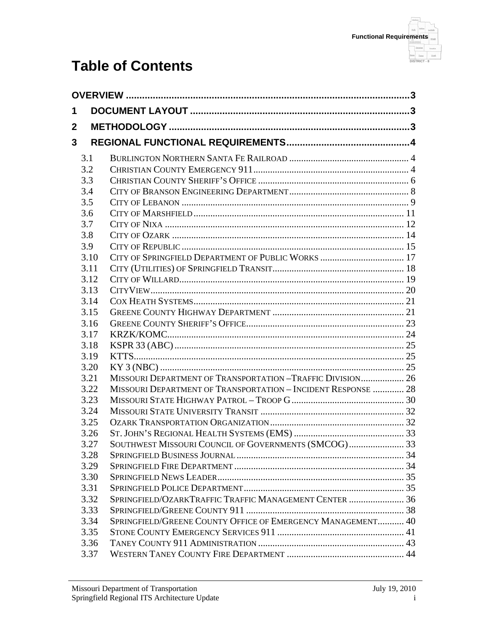

# **Table of Contents**

| 1            |              |                                                               |  |  |  |  |
|--------------|--------------|---------------------------------------------------------------|--|--|--|--|
| $\mathbf{2}$ |              |                                                               |  |  |  |  |
| 3            |              |                                                               |  |  |  |  |
|              |              |                                                               |  |  |  |  |
|              | 3.1          |                                                               |  |  |  |  |
|              | 3.2          |                                                               |  |  |  |  |
|              | 3.3          |                                                               |  |  |  |  |
|              | 3.4          |                                                               |  |  |  |  |
|              | 3.5          |                                                               |  |  |  |  |
|              | 3.6<br>3.7   |                                                               |  |  |  |  |
|              | 3.8          |                                                               |  |  |  |  |
|              | 3.9          |                                                               |  |  |  |  |
|              | 3.10         | CITY OF SPRINGFIELD DEPARTMENT OF PUBLIC WORKS  17            |  |  |  |  |
|              | 3.11         |                                                               |  |  |  |  |
|              | 3.12         |                                                               |  |  |  |  |
|              | 3.13         |                                                               |  |  |  |  |
|              | 3.14         |                                                               |  |  |  |  |
|              | 3.15         |                                                               |  |  |  |  |
|              | 3.16         |                                                               |  |  |  |  |
|              | 3.17         |                                                               |  |  |  |  |
|              | 3.18         |                                                               |  |  |  |  |
|              | 3.19         |                                                               |  |  |  |  |
|              | 3.20         |                                                               |  |  |  |  |
|              | 3.21         | MISSOURI DEPARTMENT OF TRANSPORTATION -TRAFFIC DIVISION 26    |  |  |  |  |
|              | 3.22         | MISSOURI DEPARTMENT OF TRANSPORTATION - INCIDENT RESPONSE  28 |  |  |  |  |
|              | 3.23         |                                                               |  |  |  |  |
|              | 3.24         |                                                               |  |  |  |  |
|              | 3.25         |                                                               |  |  |  |  |
|              | 3.26         |                                                               |  |  |  |  |
|              | 3.27         | SOUTHWEST MISSOURI COUNCIL OF GOVERNMENTS (SMCOG) 33          |  |  |  |  |
|              | 3.28         |                                                               |  |  |  |  |
|              | 3.29         |                                                               |  |  |  |  |
|              | 3.30         |                                                               |  |  |  |  |
|              | 3.31         | SPRINGFIELD/OZARKTRAFFIC TRAFFIC MANAGEMENT CENTER  36        |  |  |  |  |
|              | 3.32         |                                                               |  |  |  |  |
|              | 3.33<br>3.34 | SPRINGFIELD/GREENE COUNTY OFFICE OF EMERGENCY MANAGEMENT 40   |  |  |  |  |
|              | 3.35         |                                                               |  |  |  |  |
|              | 3.36         |                                                               |  |  |  |  |
|              | 3.37         |                                                               |  |  |  |  |
|              |              |                                                               |  |  |  |  |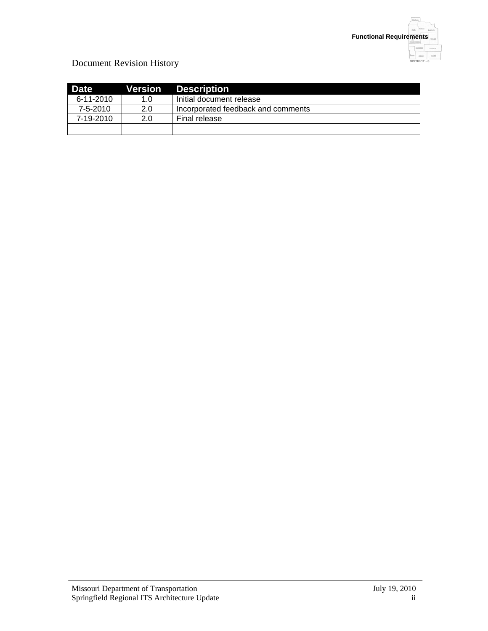

## Document Revision History

| <b>Date</b> | Version | <b>Description</b>                 |
|-------------|---------|------------------------------------|
| 6-11-2010   | 1.0     | Initial document release           |
| 7-5-2010    | 2.0     | Incorporated feedback and comments |
| 7-19-2010   | 2.0     | Final release                      |
|             |         |                                    |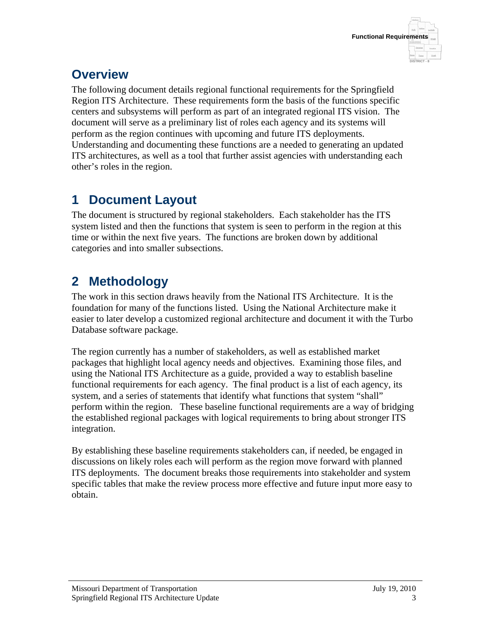# **Overview**

The following document details regional functional requirements for the Springfield Region ITS Architecture. These requirements form the basis of the functions specific centers and subsystems will perform as part of an integrated regional ITS vision. The document will serve as a preliminary list of roles each agency and its systems will perform as the region continues with upcoming and future ITS deployments. Understanding and documenting these functions are a needed to generating an updated ITS architectures, as well as a tool that further assist agencies with understanding each other's roles in the region.

# **1 Document Layout**

The document is structured by regional stakeholders. Each stakeholder has the ITS system listed and then the functions that system is seen to perform in the region at this time or within the next five years. The functions are broken down by additional categories and into smaller subsections.

# **2 Methodology**

The work in this section draws heavily from the National ITS Architecture. It is the foundation for many of the functions listed. Using the National Architecture make it easier to later develop a customized regional architecture and document it with the Turbo Database software package.

The region currently has a number of stakeholders, as well as established market packages that highlight local agency needs and objectives. Examining those files, and using the National ITS Architecture as a guide, provided a way to establish baseline functional requirements for each agency. The final product is a list of each agency, its system, and a series of statements that identify what functions that system "shall" perform within the region. These baseline functional requirements are a way of bridging the established regional packages with logical requirements to bring about stronger ITS integration.

By establishing these baseline requirements stakeholders can, if needed, be engaged in discussions on likely roles each will perform as the region move forward with planned ITS deployments. The document breaks those requirements into stakeholder and system specific tables that make the review process more effective and future input more easy to obtain.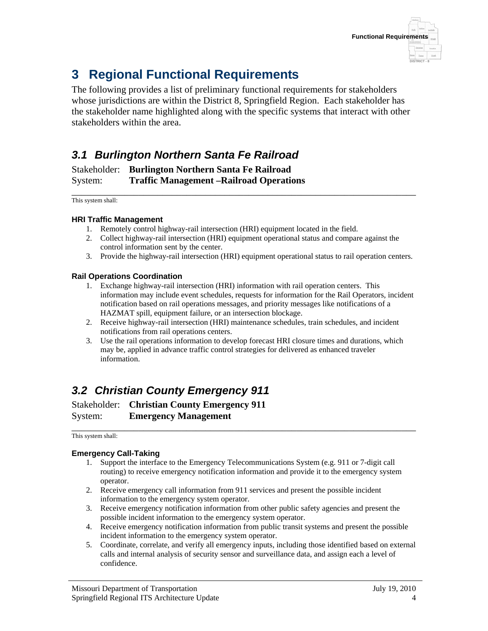

# **3 Regional Functional Requirements**

The following provides a list of preliminary functional requirements for stakeholders whose jurisdictions are within the District 8, Springfield Region. Each stakeholder has the stakeholder name highlighted along with the specific systems that interact with other stakeholders within the area.

# *3.1 Burlington Northern Santa Fe Railroad*

Stakeholder: **Burlington Northern Santa Fe Railroad** System: **Traffic Management –Railroad Operations**

\_\_\_\_\_\_\_\_\_\_\_\_\_\_\_\_\_\_\_\_\_\_\_\_\_\_\_\_\_\_\_\_\_\_\_\_\_\_\_\_\_\_\_\_\_\_\_\_\_\_\_\_\_\_\_\_\_\_\_\_\_\_\_\_\_\_\_\_\_\_\_\_ This system shall:

### **HRI Traffic Management**

- 1. Remotely control highway-rail intersection (HRI) equipment located in the field.
- 2. Collect highway-rail intersection (HRI) equipment operational status and compare against the control information sent by the center.
- 3. Provide the highway-rail intersection (HRI) equipment operational status to rail operation centers.

### **Rail Operations Coordination**

- 1. Exchange highway-rail intersection (HRI) information with rail operation centers. This information may include event schedules, requests for information for the Rail Operators, incident notification based on rail operations messages, and priority messages like notifications of a HAZMAT spill, equipment failure, or an intersection blockage.
- 2. Receive highway-rail intersection (HRI) maintenance schedules, train schedules, and incident notifications from rail operations centers.
- 3. Use the rail operations information to develop forecast HRI closure times and durations, which may be, applied in advance traffic control strategies for delivered as enhanced traveler information.

# *3.2 Christian County Emergency 911*

Stakeholder: **Christian County Emergency 911** System: **Emergency Management**

\_\_\_\_\_\_\_\_\_\_\_\_\_\_\_\_\_\_\_\_\_\_\_\_\_\_\_\_\_\_\_\_\_\_\_\_\_\_\_\_\_\_\_\_\_\_\_\_\_\_\_\_\_\_\_\_\_\_\_\_\_\_\_\_\_\_\_\_\_\_\_\_ This system shall:

### **Emergency Call-Taking**

- 1. Support the interface to the Emergency Telecommunications System (e.g. 911 or 7-digit call routing) to receive emergency notification information and provide it to the emergency system operator.
- 2. Receive emergency call information from 911 services and present the possible incident information to the emergency system operator.
- 3. Receive emergency notification information from other public safety agencies and present the possible incident information to the emergency system operator.
- 4. Receive emergency notification information from public transit systems and present the possible incident information to the emergency system operator.
- 5. Coordinate, correlate, and verify all emergency inputs, including those identified based on external calls and internal analysis of security sensor and surveillance data, and assign each a level of confidence.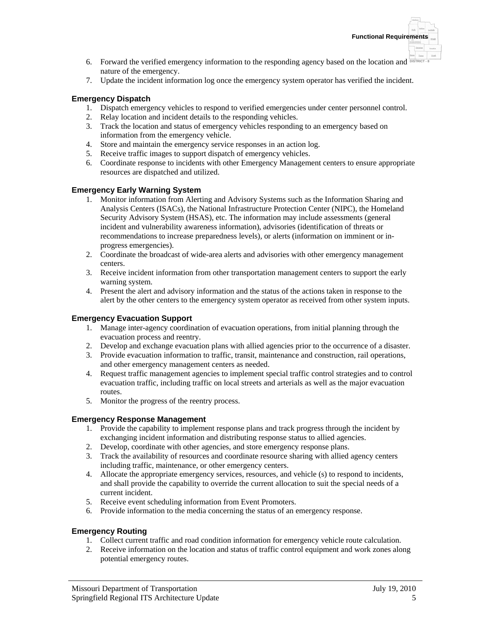- 6. Forward the verified emergency information to the responding agency based on the location and **DISTRICT-8** nature of the emergency.
- 7. Update the incident information log once the emergency system operator has verified the incident.

### **Emergency Dispatch**

- 1. Dispatch emergency vehicles to respond to verified emergencies under center personnel control.
- 2. Relay location and incident details to the responding vehicles.
- 3. Track the location and status of emergency vehicles responding to an emergency based on information from the emergency vehicle.
- 4. Store and maintain the emergency service responses in an action log.
- 5. Receive traffic images to support dispatch of emergency vehicles.
- 6. Coordinate response to incidents with other Emergency Management centers to ensure appropriate resources are dispatched and utilized.

### **Emergency Early Warning System**

- 1. Monitor information from Alerting and Advisory Systems such as the Information Sharing and Analysis Centers (ISACs), the National Infrastructure Protection Center (NIPC), the Homeland Security Advisory System (HSAS), etc. The information may include assessments (general incident and vulnerability awareness information), advisories (identification of threats or recommendations to increase preparedness levels), or alerts (information on imminent or inprogress emergencies).
- 2. Coordinate the broadcast of wide-area alerts and advisories with other emergency management centers.
- 3. Receive incident information from other transportation management centers to support the early warning system.
- 4. Present the alert and advisory information and the status of the actions taken in response to the alert by the other centers to the emergency system operator as received from other system inputs.

### **Emergency Evacuation Support**

- 1. Manage inter-agency coordination of evacuation operations, from initial planning through the evacuation process and reentry.
- 2. Develop and exchange evacuation plans with allied agencies prior to the occurrence of a disaster.
- 3. Provide evacuation information to traffic, transit, maintenance and construction, rail operations, and other emergency management centers as needed.
- 4. Request traffic management agencies to implement special traffic control strategies and to control evacuation traffic, including traffic on local streets and arterials as well as the major evacuation routes.
- 5. Monitor the progress of the reentry process.

### **Emergency Response Management**

- 1. Provide the capability to implement response plans and track progress through the incident by exchanging incident information and distributing response status to allied agencies.
- 2. Develop, coordinate with other agencies, and store emergency response plans.
- 3. Track the availability of resources and coordinate resource sharing with allied agency centers including traffic, maintenance, or other emergency centers.
- 4. Allocate the appropriate emergency services, resources, and vehicle (s) to respond to incidents, and shall provide the capability to override the current allocation to suit the special needs of a current incident.
- 5. Receive event scheduling information from Event Promoters.
- 6. Provide information to the media concerning the status of an emergency response.

### **Emergency Routing**

- 1. Collect current traffic and road condition information for emergency vehicle route calculation.
- 2. Receive information on the location and status of traffic control equipment and work zones along potential emergency routes.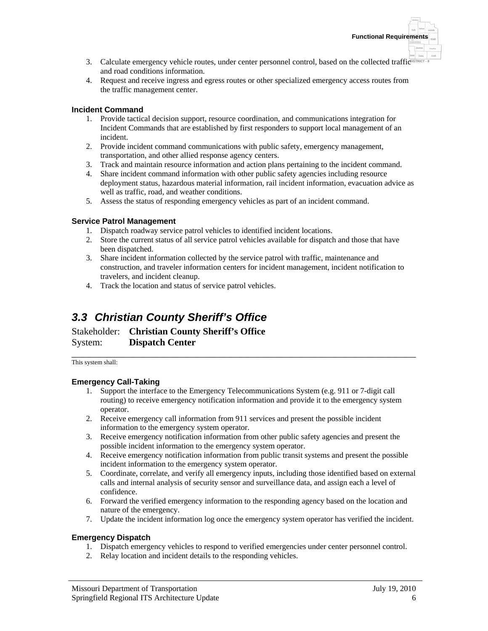- 3. Calculate emergency vehicle routes, under center personnel control, based on the collected traffic<sup>osnect s</sup> and road conditions information.
- 4. Request and receive ingress and egress routes or other specialized emergency access routes from the traffic management center.

### **Incident Command**

- 1. Provide tactical decision support, resource coordination, and communications integration for Incident Commands that are established by first responders to support local management of an incident.
- 2. Provide incident command communications with public safety, emergency management, transportation, and other allied response agency centers.
- 3. Track and maintain resource information and action plans pertaining to the incident command.
- 4. Share incident command information with other public safety agencies including resource deployment status, hazardous material information, rail incident information, evacuation advice as well as traffic, road, and weather conditions.
- 5. Assess the status of responding emergency vehicles as part of an incident command.

### **Service Patrol Management**

- 1. Dispatch roadway service patrol vehicles to identified incident locations.
- 2. Store the current status of all service patrol vehicles available for dispatch and those that have been dispatched.
- 3. Share incident information collected by the service patrol with traffic, maintenance and construction, and traveler information centers for incident management, incident notification to travelers, and incident cleanup.
- 4. Track the location and status of service patrol vehicles.

# *3.3 Christian County Sheriff's Office*

Stakeholder: **Christian County Sheriff's Office** System: **Dispatch Center**

\_\_\_\_\_\_\_\_\_\_\_\_\_\_\_\_\_\_\_\_\_\_\_\_\_\_\_\_\_\_\_\_\_\_\_\_\_\_\_\_\_\_\_\_\_\_\_\_\_\_\_\_\_\_\_\_\_\_\_\_\_\_\_\_\_\_\_\_\_\_\_\_ This system shall:

### **Emergency Call-Taking**

- 1. Support the interface to the Emergency Telecommunications System (e.g. 911 or 7-digit call routing) to receive emergency notification information and provide it to the emergency system operator.
- 2. Receive emergency call information from 911 services and present the possible incident information to the emergency system operator.
- 3. Receive emergency notification information from other public safety agencies and present the possible incident information to the emergency system operator.
- 4. Receive emergency notification information from public transit systems and present the possible incident information to the emergency system operator.
- 5. Coordinate, correlate, and verify all emergency inputs, including those identified based on external calls and internal analysis of security sensor and surveillance data, and assign each a level of confidence.
- 6. Forward the verified emergency information to the responding agency based on the location and nature of the emergency.
- 7. Update the incident information log once the emergency system operator has verified the incident.

### **Emergency Dispatch**

- 1. Dispatch emergency vehicles to respond to verified emergencies under center personnel control.
- 2. Relay location and incident details to the responding vehicles.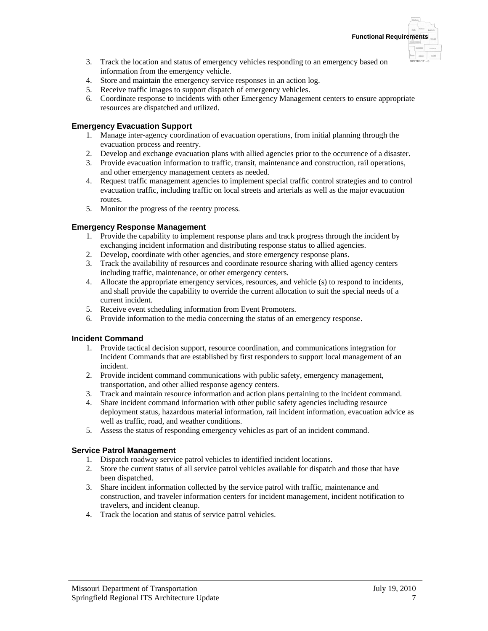- 3. Track the location and status of emergency vehicles responding to an emergency based on information from the emergency vehicle.
- 4. Store and maintain the emergency service responses in an action log.
- 5. Receive traffic images to support dispatch of emergency vehicles.
- 6. Coordinate response to incidents with other Emergency Management centers to ensure appropriate resources are dispatched and utilized.

### **Emergency Evacuation Support**

- 1. Manage inter-agency coordination of evacuation operations, from initial planning through the evacuation process and reentry.
- 2. Develop and exchange evacuation plans with allied agencies prior to the occurrence of a disaster.
- 3. Provide evacuation information to traffic, transit, maintenance and construction, rail operations, and other emergency management centers as needed.
- 4. Request traffic management agencies to implement special traffic control strategies and to control evacuation traffic, including traffic on local streets and arterials as well as the major evacuation routes.
- 5. Monitor the progress of the reentry process.

### **Emergency Response Management**

- 1. Provide the capability to implement response plans and track progress through the incident by exchanging incident information and distributing response status to allied agencies.
- 2. Develop, coordinate with other agencies, and store emergency response plans.
- 3. Track the availability of resources and coordinate resource sharing with allied agency centers including traffic, maintenance, or other emergency centers.
- 4. Allocate the appropriate emergency services, resources, and vehicle (s) to respond to incidents, and shall provide the capability to override the current allocation to suit the special needs of a current incident.
- 5. Receive event scheduling information from Event Promoters.
- 6. Provide information to the media concerning the status of an emergency response.

### **Incident Command**

- 1. Provide tactical decision support, resource coordination, and communications integration for Incident Commands that are established by first responders to support local management of an incident.
- 2. Provide incident command communications with public safety, emergency management, transportation, and other allied response agency centers.
- 3. Track and maintain resource information and action plans pertaining to the incident command.
- 4. Share incident command information with other public safety agencies including resource deployment status, hazardous material information, rail incident information, evacuation advice as well as traffic, road, and weather conditions.
- 5. Assess the status of responding emergency vehicles as part of an incident command.

### **Service Patrol Management**

- 1. Dispatch roadway service patrol vehicles to identified incident locations.
- 2. Store the current status of all service patrol vehicles available for dispatch and those that have been dispatched.
- 3. Share incident information collected by the service patrol with traffic, maintenance and construction, and traveler information centers for incident management, incident notification to travelers, and incident cleanup.
- 4. Track the location and status of service patrol vehicles.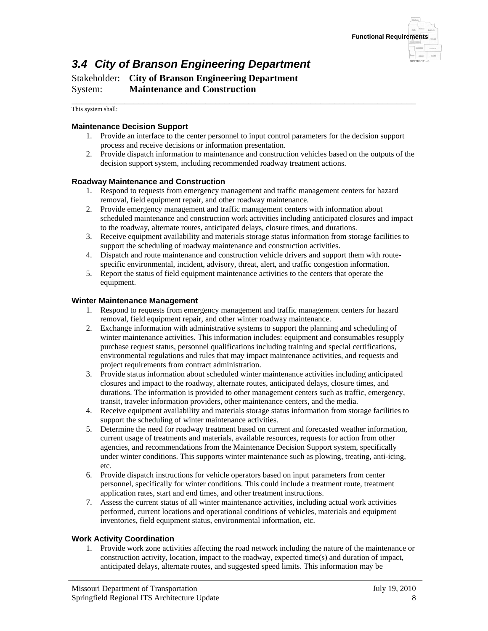

# *3.4 City of Branson Engineering Department*

Stakeholder: **City of Branson Engineering Department** System: **Maintenance and Construction**

\_\_\_\_\_\_\_\_\_\_\_\_\_\_\_\_\_\_\_\_\_\_\_\_\_\_\_\_\_\_\_\_\_\_\_\_\_\_\_\_\_\_\_\_\_\_\_\_\_\_\_\_\_\_\_\_\_\_\_\_\_\_\_\_\_\_\_\_\_\_\_\_ This system shall:

### **Maintenance Decision Support**

- 1. Provide an interface to the center personnel to input control parameters for the decision support process and receive decisions or information presentation.
- 2. Provide dispatch information to maintenance and construction vehicles based on the outputs of the decision support system, including recommended roadway treatment actions.

### **Roadway Maintenance and Construction**

- 1. Respond to requests from emergency management and traffic management centers for hazard removal, field equipment repair, and other roadway maintenance.
- 2. Provide emergency management and traffic management centers with information about scheduled maintenance and construction work activities including anticipated closures and impact to the roadway, alternate routes, anticipated delays, closure times, and durations.
- 3. Receive equipment availability and materials storage status information from storage facilities to support the scheduling of roadway maintenance and construction activities.
- 4. Dispatch and route maintenance and construction vehicle drivers and support them with routespecific environmental, incident, advisory, threat, alert, and traffic congestion information.
- 5. Report the status of field equipment maintenance activities to the centers that operate the equipment.

### **Winter Maintenance Management**

- 1. Respond to requests from emergency management and traffic management centers for hazard removal, field equipment repair, and other winter roadway maintenance.
- 2. Exchange information with administrative systems to support the planning and scheduling of winter maintenance activities. This information includes: equipment and consumables resupply purchase request status, personnel qualifications including training and special certifications, environmental regulations and rules that may impact maintenance activities, and requests and project requirements from contract administration.
- 3. Provide status information about scheduled winter maintenance activities including anticipated closures and impact to the roadway, alternate routes, anticipated delays, closure times, and durations. The information is provided to other management centers such as traffic, emergency, transit, traveler information providers, other maintenance centers, and the media.
- 4. Receive equipment availability and materials storage status information from storage facilities to support the scheduling of winter maintenance activities.
- 5. Determine the need for roadway treatment based on current and forecasted weather information, current usage of treatments and materials, available resources, requests for action from other agencies, and recommendations from the Maintenance Decision Support system, specifically under winter conditions. This supports winter maintenance such as plowing, treating, anti-icing, etc.
- 6. Provide dispatch instructions for vehicle operators based on input parameters from center personnel, specifically for winter conditions. This could include a treatment route, treatment application rates, start and end times, and other treatment instructions.
- 7. Assess the current status of all winter maintenance activities, including actual work activities performed, current locations and operational conditions of vehicles, materials and equipment inventories, field equipment status, environmental information, etc.

#### **Work Activity Coordination**

1. Provide work zone activities affecting the road network including the nature of the maintenance or construction activity, location, impact to the roadway, expected time(s) and duration of impact, anticipated delays, alternate routes, and suggested speed limits. This information may be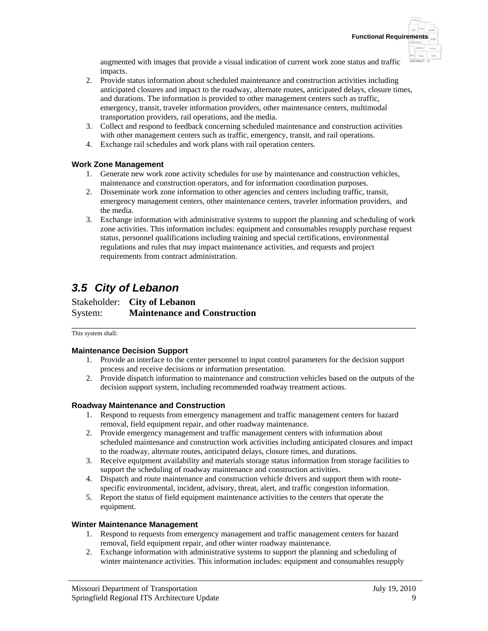augmented with images that provide a visual indication of current work zone status and traffic impacts.

- 2. Provide status information about scheduled maintenance and construction activities including anticipated closures and impact to the roadway, alternate routes, anticipated delays, closure times, and durations. The information is provided to other management centers such as traffic, emergency, transit, traveler information providers, other maintenance centers, multimodal transportation providers, rail operations, and the media.
- 3. Collect and respond to feedback concerning scheduled maintenance and construction activities with other management centers such as traffic, emergency, transit, and rail operations.
- 4. Exchange rail schedules and work plans with rail operation centers.

### **Work Zone Management**

- 1. Generate new work zone activity schedules for use by maintenance and construction vehicles, maintenance and construction operators, and for information coordination purposes.
- 2. Disseminate work zone information to other agencies and centers including traffic, transit, emergency management centers, other maintenance centers, traveler information providers, and the media.
- 3. Exchange information with administrative systems to support the planning and scheduling of work zone activities. This information includes: equipment and consumables resupply purchase request status, personnel qualifications including training and special certifications, environmental regulations and rules that may impact maintenance activities, and requests and project requirements from contract administration.

# *3.5 City of Lebanon*

Stakeholder: **City of Lebanon** System: **Maintenance and Construction**

\_\_\_\_\_\_\_\_\_\_\_\_\_\_\_\_\_\_\_\_\_\_\_\_\_\_\_\_\_\_\_\_\_\_\_\_\_\_\_\_\_\_\_\_\_\_\_\_\_\_\_\_\_\_\_\_\_\_\_\_\_\_\_\_\_\_\_\_\_\_\_\_ This system shall:

### **Maintenance Decision Support**

- 1. Provide an interface to the center personnel to input control parameters for the decision support process and receive decisions or information presentation.
- 2. Provide dispatch information to maintenance and construction vehicles based on the outputs of the decision support system, including recommended roadway treatment actions.

### **Roadway Maintenance and Construction**

- 1. Respond to requests from emergency management and traffic management centers for hazard removal, field equipment repair, and other roadway maintenance.
- 2. Provide emergency management and traffic management centers with information about scheduled maintenance and construction work activities including anticipated closures and impact to the roadway, alternate routes, anticipated delays, closure times, and durations.
- 3. Receive equipment availability and materials storage status information from storage facilities to support the scheduling of roadway maintenance and construction activities.
- 4. Dispatch and route maintenance and construction vehicle drivers and support them with routespecific environmental, incident, advisory, threat, alert, and traffic congestion information.
- 5. Report the status of field equipment maintenance activities to the centers that operate the equipment.

### **Winter Maintenance Management**

- 1. Respond to requests from emergency management and traffic management centers for hazard removal, field equipment repair, and other winter roadway maintenance.
- 2. Exchange information with administrative systems to support the planning and scheduling of winter maintenance activities. This information includes: equipment and consumables resupply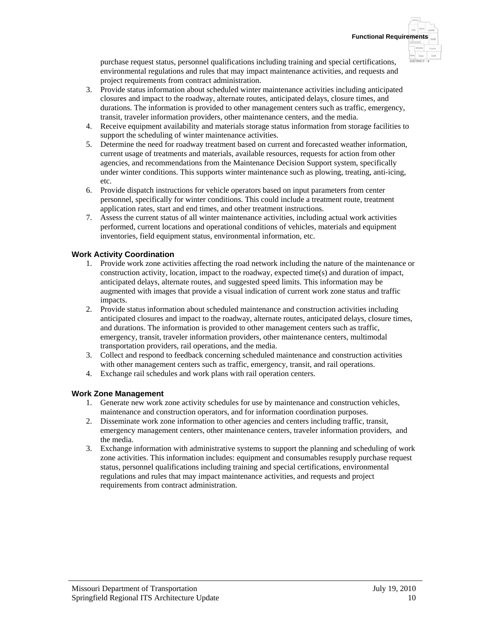**DISTRICT - 8**

purchase request status, personnel qualifications including training and special certifications, environmental regulations and rules that may impact maintenance activities, and requests and project requirements from contract administration.

- 3. Provide status information about scheduled winter maintenance activities including anticipated closures and impact to the roadway, alternate routes, anticipated delays, closure times, and durations. The information is provided to other management centers such as traffic, emergency, transit, traveler information providers, other maintenance centers, and the media.
- 4. Receive equipment availability and materials storage status information from storage facilities to support the scheduling of winter maintenance activities.
- 5. Determine the need for roadway treatment based on current and forecasted weather information, current usage of treatments and materials, available resources, requests for action from other agencies, and recommendations from the Maintenance Decision Support system, specifically under winter conditions. This supports winter maintenance such as plowing, treating, anti-icing, etc.
- 6. Provide dispatch instructions for vehicle operators based on input parameters from center personnel, specifically for winter conditions. This could include a treatment route, treatment application rates, start and end times, and other treatment instructions.
- 7. Assess the current status of all winter maintenance activities, including actual work activities performed, current locations and operational conditions of vehicles, materials and equipment inventories, field equipment status, environmental information, etc.

### **Work Activity Coordination**

- 1. Provide work zone activities affecting the road network including the nature of the maintenance or construction activity, location, impact to the roadway, expected time(s) and duration of impact, anticipated delays, alternate routes, and suggested speed limits. This information may be augmented with images that provide a visual indication of current work zone status and traffic impacts.
- 2. Provide status information about scheduled maintenance and construction activities including anticipated closures and impact to the roadway, alternate routes, anticipated delays, closure times, and durations. The information is provided to other management centers such as traffic, emergency, transit, traveler information providers, other maintenance centers, multimodal transportation providers, rail operations, and the media.
- 3. Collect and respond to feedback concerning scheduled maintenance and construction activities with other management centers such as traffic, emergency, transit, and rail operations.
- 4. Exchange rail schedules and work plans with rail operation centers.

### **Work Zone Management**

- 1. Generate new work zone activity schedules for use by maintenance and construction vehicles, maintenance and construction operators, and for information coordination purposes.
- 2. Disseminate work zone information to other agencies and centers including traffic, transit, emergency management centers, other maintenance centers, traveler information providers, and the media.
- 3. Exchange information with administrative systems to support the planning and scheduling of work zone activities. This information includes: equipment and consumables resupply purchase request status, personnel qualifications including training and special certifications, environmental regulations and rules that may impact maintenance activities, and requests and project requirements from contract administration.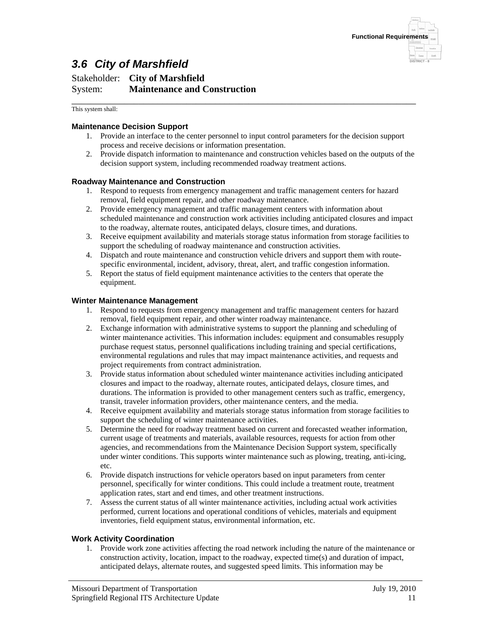

# *3.6 City of Marshfield*

### Stakeholder: **City of Marshfield** System: **Maintenance and Construction** \_\_\_\_\_\_\_\_\_\_\_\_\_\_\_\_\_\_\_\_\_\_\_\_\_\_\_\_\_\_\_\_\_\_\_\_\_\_\_\_\_\_\_\_\_\_\_\_\_\_\_\_\_\_\_\_\_\_\_\_\_\_\_\_\_\_\_\_\_\_\_\_

This system shall:

### **Maintenance Decision Support**

- 1. Provide an interface to the center personnel to input control parameters for the decision support process and receive decisions or information presentation.
- 2. Provide dispatch information to maintenance and construction vehicles based on the outputs of the decision support system, including recommended roadway treatment actions.

### **Roadway Maintenance and Construction**

- 1. Respond to requests from emergency management and traffic management centers for hazard removal, field equipment repair, and other roadway maintenance.
- 2. Provide emergency management and traffic management centers with information about scheduled maintenance and construction work activities including anticipated closures and impact to the roadway, alternate routes, anticipated delays, closure times, and durations.
- 3. Receive equipment availability and materials storage status information from storage facilities to support the scheduling of roadway maintenance and construction activities.
- 4. Dispatch and route maintenance and construction vehicle drivers and support them with routespecific environmental, incident, advisory, threat, alert, and traffic congestion information.
- 5. Report the status of field equipment maintenance activities to the centers that operate the equipment.

#### **Winter Maintenance Management**

- 1. Respond to requests from emergency management and traffic management centers for hazard removal, field equipment repair, and other winter roadway maintenance.
- 2. Exchange information with administrative systems to support the planning and scheduling of winter maintenance activities. This information includes: equipment and consumables resupply purchase request status, personnel qualifications including training and special certifications, environmental regulations and rules that may impact maintenance activities, and requests and project requirements from contract administration.
- 3. Provide status information about scheduled winter maintenance activities including anticipated closures and impact to the roadway, alternate routes, anticipated delays, closure times, and durations. The information is provided to other management centers such as traffic, emergency, transit, traveler information providers, other maintenance centers, and the media.
- 4. Receive equipment availability and materials storage status information from storage facilities to support the scheduling of winter maintenance activities.
- 5. Determine the need for roadway treatment based on current and forecasted weather information, current usage of treatments and materials, available resources, requests for action from other agencies, and recommendations from the Maintenance Decision Support system, specifically under winter conditions. This supports winter maintenance such as plowing, treating, anti-icing, etc.
- 6. Provide dispatch instructions for vehicle operators based on input parameters from center personnel, specifically for winter conditions. This could include a treatment route, treatment application rates, start and end times, and other treatment instructions.
- 7. Assess the current status of all winter maintenance activities, including actual work activities performed, current locations and operational conditions of vehicles, materials and equipment inventories, field equipment status, environmental information, etc.

#### **Work Activity Coordination**

1. Provide work zone activities affecting the road network including the nature of the maintenance or construction activity, location, impact to the roadway, expected time(s) and duration of impact, anticipated delays, alternate routes, and suggested speed limits. This information may be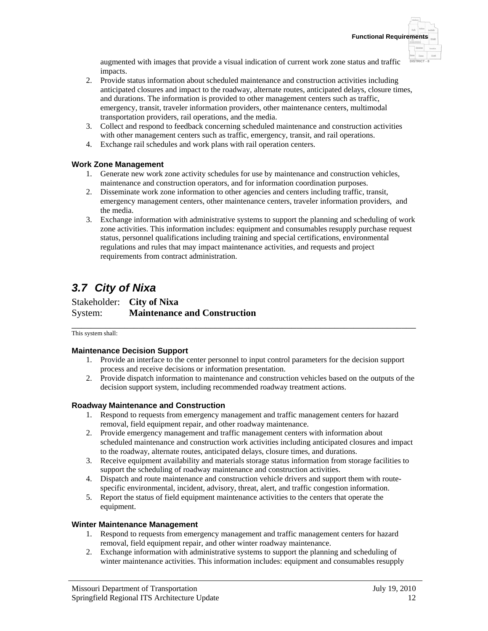augmented with images that provide a visual indication of current work zone status and traffic impacts.

- 2. Provide status information about scheduled maintenance and construction activities including anticipated closures and impact to the roadway, alternate routes, anticipated delays, closure times, and durations. The information is provided to other management centers such as traffic, emergency, transit, traveler information providers, other maintenance centers, multimodal transportation providers, rail operations, and the media.
- 3. Collect and respond to feedback concerning scheduled maintenance and construction activities with other management centers such as traffic, emergency, transit, and rail operations.
- 4. Exchange rail schedules and work plans with rail operation centers.

### **Work Zone Management**

- 1. Generate new work zone activity schedules for use by maintenance and construction vehicles, maintenance and construction operators, and for information coordination purposes.
- 2. Disseminate work zone information to other agencies and centers including traffic, transit, emergency management centers, other maintenance centers, traveler information providers, and the media.
- 3. Exchange information with administrative systems to support the planning and scheduling of work zone activities. This information includes: equipment and consumables resupply purchase request status, personnel qualifications including training and special certifications, environmental regulations and rules that may impact maintenance activities, and requests and project requirements from contract administration.

# *3.7 City of Nixa*

Stakeholder: **City of Nixa** System: **Maintenance and Construction**

\_\_\_\_\_\_\_\_\_\_\_\_\_\_\_\_\_\_\_\_\_\_\_\_\_\_\_\_\_\_\_\_\_\_\_\_\_\_\_\_\_\_\_\_\_\_\_\_\_\_\_\_\_\_\_\_\_\_\_\_\_\_\_\_\_\_\_\_\_\_\_\_ This system shall:

### **Maintenance Decision Support**

- 1. Provide an interface to the center personnel to input control parameters for the decision support process and receive decisions or information presentation.
- 2. Provide dispatch information to maintenance and construction vehicles based on the outputs of the decision support system, including recommended roadway treatment actions.

### **Roadway Maintenance and Construction**

- 1. Respond to requests from emergency management and traffic management centers for hazard removal, field equipment repair, and other roadway maintenance.
- 2. Provide emergency management and traffic management centers with information about scheduled maintenance and construction work activities including anticipated closures and impact to the roadway, alternate routes, anticipated delays, closure times, and durations.
- 3. Receive equipment availability and materials storage status information from storage facilities to support the scheduling of roadway maintenance and construction activities.
- 4. Dispatch and route maintenance and construction vehicle drivers and support them with routespecific environmental, incident, advisory, threat, alert, and traffic congestion information.
- 5. Report the status of field equipment maintenance activities to the centers that operate the equipment.

### **Winter Maintenance Management**

- 1. Respond to requests from emergency management and traffic management centers for hazard removal, field equipment repair, and other winter roadway maintenance.
- 2. Exchange information with administrative systems to support the planning and scheduling of winter maintenance activities. This information includes: equipment and consumables resupply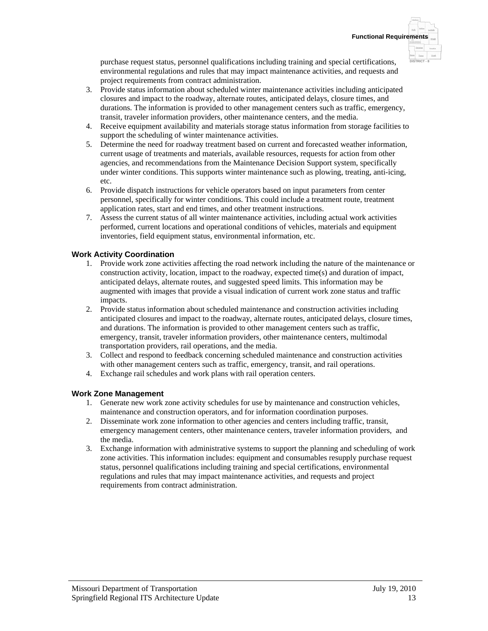**DISTRICT - 8**

purchase request status, personnel qualifications including training and special certifications, environmental regulations and rules that may impact maintenance activities, and requests and project requirements from contract administration.

- 3. Provide status information about scheduled winter maintenance activities including anticipated closures and impact to the roadway, alternate routes, anticipated delays, closure times, and durations. The information is provided to other management centers such as traffic, emergency, transit, traveler information providers, other maintenance centers, and the media.
- 4. Receive equipment availability and materials storage status information from storage facilities to support the scheduling of winter maintenance activities.
- 5. Determine the need for roadway treatment based on current and forecasted weather information, current usage of treatments and materials, available resources, requests for action from other agencies, and recommendations from the Maintenance Decision Support system, specifically under winter conditions. This supports winter maintenance such as plowing, treating, anti-icing, etc.
- 6. Provide dispatch instructions for vehicle operators based on input parameters from center personnel, specifically for winter conditions. This could include a treatment route, treatment application rates, start and end times, and other treatment instructions.
- 7. Assess the current status of all winter maintenance activities, including actual work activities performed, current locations and operational conditions of vehicles, materials and equipment inventories, field equipment status, environmental information, etc.

### **Work Activity Coordination**

- 1. Provide work zone activities affecting the road network including the nature of the maintenance or construction activity, location, impact to the roadway, expected time(s) and duration of impact, anticipated delays, alternate routes, and suggested speed limits. This information may be augmented with images that provide a visual indication of current work zone status and traffic impacts.
- 2. Provide status information about scheduled maintenance and construction activities including anticipated closures and impact to the roadway, alternate routes, anticipated delays, closure times, and durations. The information is provided to other management centers such as traffic, emergency, transit, traveler information providers, other maintenance centers, multimodal transportation providers, rail operations, and the media.
- 3. Collect and respond to feedback concerning scheduled maintenance and construction activities with other management centers such as traffic, emergency, transit, and rail operations.
- 4. Exchange rail schedules and work plans with rail operation centers.

### **Work Zone Management**

- 1. Generate new work zone activity schedules for use by maintenance and construction vehicles, maintenance and construction operators, and for information coordination purposes.
- 2. Disseminate work zone information to other agencies and centers including traffic, transit, emergency management centers, other maintenance centers, traveler information providers, and the media.
- 3. Exchange information with administrative systems to support the planning and scheduling of work zone activities. This information includes: equipment and consumables resupply purchase request status, personnel qualifications including training and special certifications, environmental regulations and rules that may impact maintenance activities, and requests and project requirements from contract administration.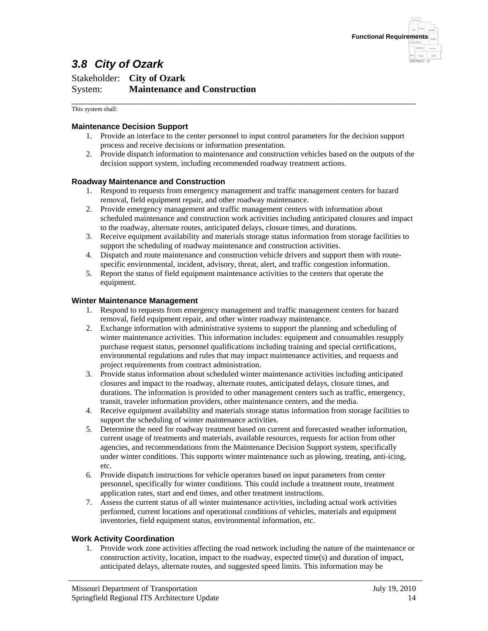

# *3.8 City of Ozark*

### Stakeholder: **City of Ozark** System: **Maintenance and Construction**

\_\_\_\_\_\_\_\_\_\_\_\_\_\_\_\_\_\_\_\_\_\_\_\_\_\_\_\_\_\_\_\_\_\_\_\_\_\_\_\_\_\_\_\_\_\_\_\_\_\_\_\_\_\_\_\_\_\_\_\_\_\_\_\_\_\_\_\_\_\_\_\_ This system shall:

### **Maintenance Decision Support**

- 1. Provide an interface to the center personnel to input control parameters for the decision support process and receive decisions or information presentation.
- 2. Provide dispatch information to maintenance and construction vehicles based on the outputs of the decision support system, including recommended roadway treatment actions.

### **Roadway Maintenance and Construction**

- 1. Respond to requests from emergency management and traffic management centers for hazard removal, field equipment repair, and other roadway maintenance.
- 2. Provide emergency management and traffic management centers with information about scheduled maintenance and construction work activities including anticipated closures and impact to the roadway, alternate routes, anticipated delays, closure times, and durations.
- 3. Receive equipment availability and materials storage status information from storage facilities to support the scheduling of roadway maintenance and construction activities.
- 4. Dispatch and route maintenance and construction vehicle drivers and support them with routespecific environmental, incident, advisory, threat, alert, and traffic congestion information.
- 5. Report the status of field equipment maintenance activities to the centers that operate the equipment.

#### **Winter Maintenance Management**

- 1. Respond to requests from emergency management and traffic management centers for hazard removal, field equipment repair, and other winter roadway maintenance.
- 2. Exchange information with administrative systems to support the planning and scheduling of winter maintenance activities. This information includes: equipment and consumables resupply purchase request status, personnel qualifications including training and special certifications, environmental regulations and rules that may impact maintenance activities, and requests and project requirements from contract administration.
- 3. Provide status information about scheduled winter maintenance activities including anticipated closures and impact to the roadway, alternate routes, anticipated delays, closure times, and durations. The information is provided to other management centers such as traffic, emergency, transit, traveler information providers, other maintenance centers, and the media.
- 4. Receive equipment availability and materials storage status information from storage facilities to support the scheduling of winter maintenance activities.
- 5. Determine the need for roadway treatment based on current and forecasted weather information, current usage of treatments and materials, available resources, requests for action from other agencies, and recommendations from the Maintenance Decision Support system, specifically under winter conditions. This supports winter maintenance such as plowing, treating, anti-icing, etc.
- 6. Provide dispatch instructions for vehicle operators based on input parameters from center personnel, specifically for winter conditions. This could include a treatment route, treatment application rates, start and end times, and other treatment instructions.
- 7. Assess the current status of all winter maintenance activities, including actual work activities performed, current locations and operational conditions of vehicles, materials and equipment inventories, field equipment status, environmental information, etc.

#### **Work Activity Coordination**

1. Provide work zone activities affecting the road network including the nature of the maintenance or construction activity, location, impact to the roadway, expected time(s) and duration of impact, anticipated delays, alternate routes, and suggested speed limits. This information may be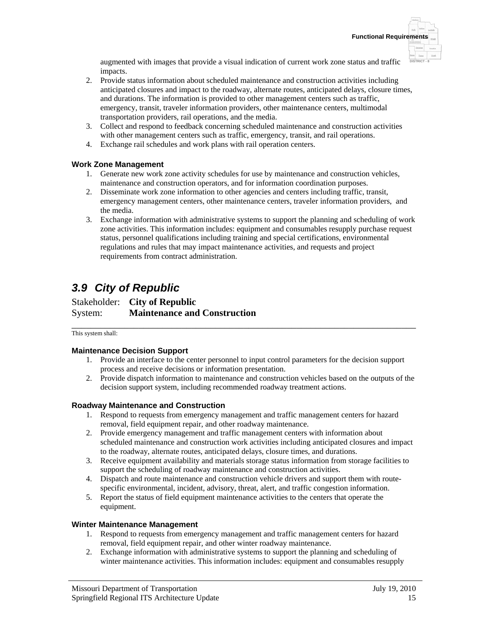augmented with images that provide a visual indication of current work zone status and traffic impacts.

- 2. Provide status information about scheduled maintenance and construction activities including anticipated closures and impact to the roadway, alternate routes, anticipated delays, closure times, and durations. The information is provided to other management centers such as traffic, emergency, transit, traveler information providers, other maintenance centers, multimodal transportation providers, rail operations, and the media.
- 3. Collect and respond to feedback concerning scheduled maintenance and construction activities with other management centers such as traffic, emergency, transit, and rail operations.
- 4. Exchange rail schedules and work plans with rail operation centers.

### **Work Zone Management**

- 1. Generate new work zone activity schedules for use by maintenance and construction vehicles, maintenance and construction operators, and for information coordination purposes.
- 2. Disseminate work zone information to other agencies and centers including traffic, transit, emergency management centers, other maintenance centers, traveler information providers, and the media.
- 3. Exchange information with administrative systems to support the planning and scheduling of work zone activities. This information includes: equipment and consumables resupply purchase request status, personnel qualifications including training and special certifications, environmental regulations and rules that may impact maintenance activities, and requests and project requirements from contract administration.

# *3.9 City of Republic*

Stakeholder: **City of Republic** System: **Maintenance and Construction**

\_\_\_\_\_\_\_\_\_\_\_\_\_\_\_\_\_\_\_\_\_\_\_\_\_\_\_\_\_\_\_\_\_\_\_\_\_\_\_\_\_\_\_\_\_\_\_\_\_\_\_\_\_\_\_\_\_\_\_\_\_\_\_\_\_\_\_\_\_\_\_\_ This system shall:

### **Maintenance Decision Support**

- 1. Provide an interface to the center personnel to input control parameters for the decision support process and receive decisions or information presentation.
- 2. Provide dispatch information to maintenance and construction vehicles based on the outputs of the decision support system, including recommended roadway treatment actions.

### **Roadway Maintenance and Construction**

- 1. Respond to requests from emergency management and traffic management centers for hazard removal, field equipment repair, and other roadway maintenance.
- 2. Provide emergency management and traffic management centers with information about scheduled maintenance and construction work activities including anticipated closures and impact to the roadway, alternate routes, anticipated delays, closure times, and durations.
- 3. Receive equipment availability and materials storage status information from storage facilities to support the scheduling of roadway maintenance and construction activities.
- 4. Dispatch and route maintenance and construction vehicle drivers and support them with routespecific environmental, incident, advisory, threat, alert, and traffic congestion information.
- 5. Report the status of field equipment maintenance activities to the centers that operate the equipment.

### **Winter Maintenance Management**

- 1. Respond to requests from emergency management and traffic management centers for hazard removal, field equipment repair, and other winter roadway maintenance.
- 2. Exchange information with administrative systems to support the planning and scheduling of winter maintenance activities. This information includes: equipment and consumables resupply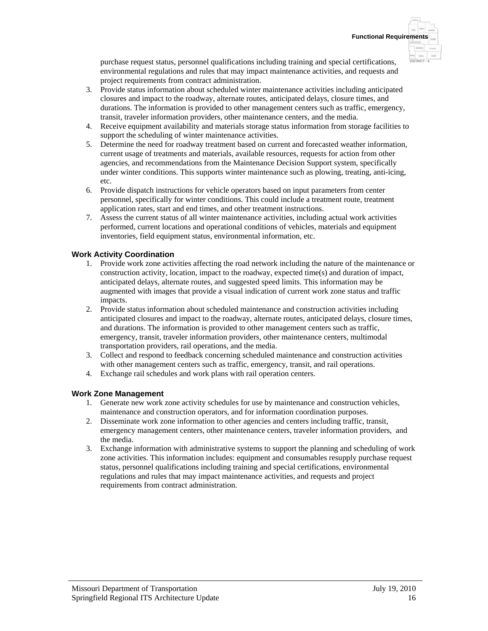**DISTRICT - 8**

purchase request status, personnel qualifications including training and special certifications, environmental regulations and rules that may impact maintenance activities, and requests and project requirements from contract administration.

- 3. Provide status information about scheduled winter maintenance activities including anticipated closures and impact to the roadway, alternate routes, anticipated delays, closure times, and durations. The information is provided to other management centers such as traffic, emergency, transit, traveler information providers, other maintenance centers, and the media.
- 4. Receive equipment availability and materials storage status information from storage facilities to support the scheduling of winter maintenance activities.
- 5. Determine the need for roadway treatment based on current and forecasted weather information, current usage of treatments and materials, available resources, requests for action from other agencies, and recommendations from the Maintenance Decision Support system, specifically under winter conditions. This supports winter maintenance such as plowing, treating, anti-icing, etc.
- 6. Provide dispatch instructions for vehicle operators based on input parameters from center personnel, specifically for winter conditions. This could include a treatment route, treatment application rates, start and end times, and other treatment instructions.
- 7. Assess the current status of all winter maintenance activities, including actual work activities performed, current locations and operational conditions of vehicles, materials and equipment inventories, field equipment status, environmental information, etc.

### **Work Activity Coordination**

- 1. Provide work zone activities affecting the road network including the nature of the maintenance or construction activity, location, impact to the roadway, expected time(s) and duration of impact, anticipated delays, alternate routes, and suggested speed limits. This information may be augmented with images that provide a visual indication of current work zone status and traffic impacts.
- 2. Provide status information about scheduled maintenance and construction activities including anticipated closures and impact to the roadway, alternate routes, anticipated delays, closure times, and durations. The information is provided to other management centers such as traffic, emergency, transit, traveler information providers, other maintenance centers, multimodal transportation providers, rail operations, and the media.
- 3. Collect and respond to feedback concerning scheduled maintenance and construction activities with other management centers such as traffic, emergency, transit, and rail operations.
- 4. Exchange rail schedules and work plans with rail operation centers.

### **Work Zone Management**

- 1. Generate new work zone activity schedules for use by maintenance and construction vehicles, maintenance and construction operators, and for information coordination purposes.
- 2. Disseminate work zone information to other agencies and centers including traffic, transit, emergency management centers, other maintenance centers, traveler information providers, and the media.
- 3. Exchange information with administrative systems to support the planning and scheduling of work zone activities. This information includes: equipment and consumables resupply purchase request status, personnel qualifications including training and special certifications, environmental regulations and rules that may impact maintenance activities, and requests and project requirements from contract administration.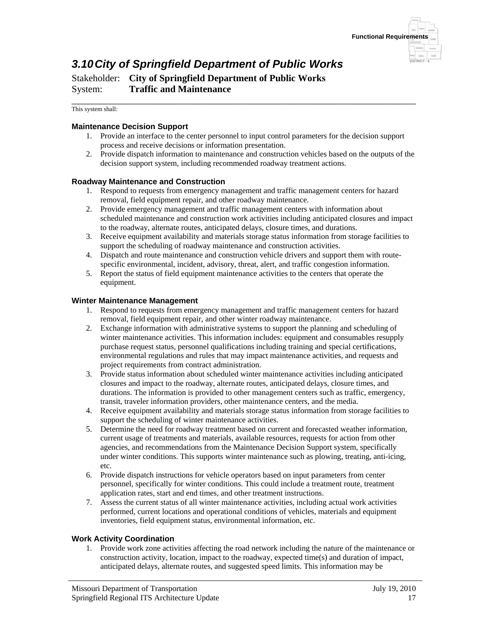

# *3.10 City of Springfield Department of Public Works*

Stakeholder: **City of Springfield Department of Public Works** System: **Traffic and Maintenance**

\_\_\_\_\_\_\_\_\_\_\_\_\_\_\_\_\_\_\_\_\_\_\_\_\_\_\_\_\_\_\_\_\_\_\_\_\_\_\_\_\_\_\_\_\_\_\_\_\_\_\_\_\_\_\_\_\_\_\_\_\_\_\_\_\_\_\_\_\_\_\_\_ This system shall:

### **Maintenance Decision Support**

- 1. Provide an interface to the center personnel to input control parameters for the decision support process and receive decisions or information presentation.
- 2. Provide dispatch information to maintenance and construction vehicles based on the outputs of the decision support system, including recommended roadway treatment actions.

### **Roadway Maintenance and Construction**

- 1. Respond to requests from emergency management and traffic management centers for hazard removal, field equipment repair, and other roadway maintenance.
- 2. Provide emergency management and traffic management centers with information about scheduled maintenance and construction work activities including anticipated closures and impact to the roadway, alternate routes, anticipated delays, closure times, and durations.
- 3. Receive equipment availability and materials storage status information from storage facilities to support the scheduling of roadway maintenance and construction activities.
- 4. Dispatch and route maintenance and construction vehicle drivers and support them with routespecific environmental, incident, advisory, threat, alert, and traffic congestion information.
- 5. Report the status of field equipment maintenance activities to the centers that operate the equipment.

### **Winter Maintenance Management**

- 1. Respond to requests from emergency management and traffic management centers for hazard removal, field equipment repair, and other winter roadway maintenance.
- 2. Exchange information with administrative systems to support the planning and scheduling of winter maintenance activities. This information includes: equipment and consumables resupply purchase request status, personnel qualifications including training and special certifications, environmental regulations and rules that may impact maintenance activities, and requests and project requirements from contract administration.
- 3. Provide status information about scheduled winter maintenance activities including anticipated closures and impact to the roadway, alternate routes, anticipated delays, closure times, and durations. The information is provided to other management centers such as traffic, emergency, transit, traveler information providers, other maintenance centers, and the media.
- 4. Receive equipment availability and materials storage status information from storage facilities to support the scheduling of winter maintenance activities.
- 5. Determine the need for roadway treatment based on current and forecasted weather information, current usage of treatments and materials, available resources, requests for action from other agencies, and recommendations from the Maintenance Decision Support system, specifically under winter conditions. This supports winter maintenance such as plowing, treating, anti-icing, etc.
- 6. Provide dispatch instructions for vehicle operators based on input parameters from center personnel, specifically for winter conditions. This could include a treatment route, treatment application rates, start and end times, and other treatment instructions.
- 7. Assess the current status of all winter maintenance activities, including actual work activities performed, current locations and operational conditions of vehicles, materials and equipment inventories, field equipment status, environmental information, etc.

### **Work Activity Coordination**

1. Provide work zone activities affecting the road network including the nature of the maintenance or construction activity, location, impact to the roadway, expected time(s) and duration of impact, anticipated delays, alternate routes, and suggested speed limits. This information may be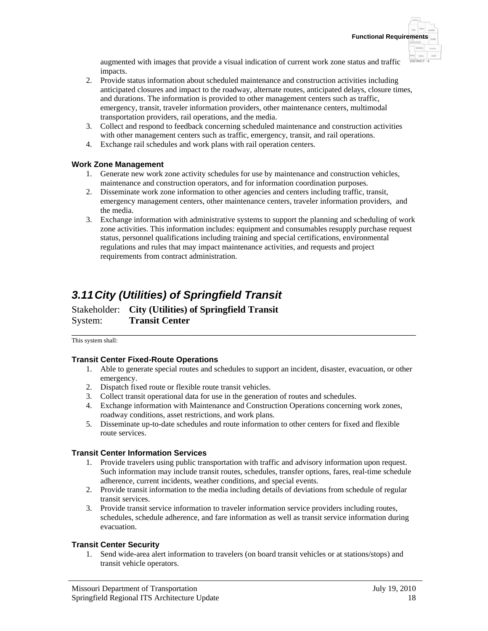augmented with images that provide a visual indication of current work zone status and traffic impacts.

- 2. Provide status information about scheduled maintenance and construction activities including anticipated closures and impact to the roadway, alternate routes, anticipated delays, closure times, and durations. The information is provided to other management centers such as traffic, emergency, transit, traveler information providers, other maintenance centers, multimodal transportation providers, rail operations, and the media.
- 3. Collect and respond to feedback concerning scheduled maintenance and construction activities with other management centers such as traffic, emergency, transit, and rail operations.
- 4. Exchange rail schedules and work plans with rail operation centers.

### **Work Zone Management**

- 1. Generate new work zone activity schedules for use by maintenance and construction vehicles, maintenance and construction operators, and for information coordination purposes.
- 2. Disseminate work zone information to other agencies and centers including traffic, transit, emergency management centers, other maintenance centers, traveler information providers, and the media.
- 3. Exchange information with administrative systems to support the planning and scheduling of work zone activities. This information includes: equipment and consumables resupply purchase request status, personnel qualifications including training and special certifications, environmental regulations and rules that may impact maintenance activities, and requests and project requirements from contract administration.

# *3.11 City (Utilities) of Springfield Transit*

Stakeholder: **City (Utilities) of Springfield Transit** System: **Transit Center**

\_\_\_\_\_\_\_\_\_\_\_\_\_\_\_\_\_\_\_\_\_\_\_\_\_\_\_\_\_\_\_\_\_\_\_\_\_\_\_\_\_\_\_\_\_\_\_\_\_\_\_\_\_\_\_\_\_\_\_\_\_\_\_\_\_\_\_\_\_\_\_\_ This system shall:

### **Transit Center Fixed-Route Operations**

- 1. Able to generate special routes and schedules to support an incident, disaster, evacuation, or other emergency.
- 2. Dispatch fixed route or flexible route transit vehicles.
- 3. Collect transit operational data for use in the generation of routes and schedules.
- 4. Exchange information with Maintenance and Construction Operations concerning work zones, roadway conditions, asset restrictions, and work plans.
- 5. Disseminate up-to-date schedules and route information to other centers for fixed and flexible route services.

### **Transit Center Information Services**

- 1. Provide travelers using public transportation with traffic and advisory information upon request. Such information may include transit routes, schedules, transfer options, fares, real-time schedule adherence, current incidents, weather conditions, and special events.
- 2. Provide transit information to the media including details of deviations from schedule of regular transit services.
- 3. Provide transit service information to traveler information service providers including routes, schedules, schedule adherence, and fare information as well as transit service information during evacuation.

### **Transit Center Security**

1. Send wide-area alert information to travelers (on board transit vehicles or at stations/stops) and transit vehicle operators.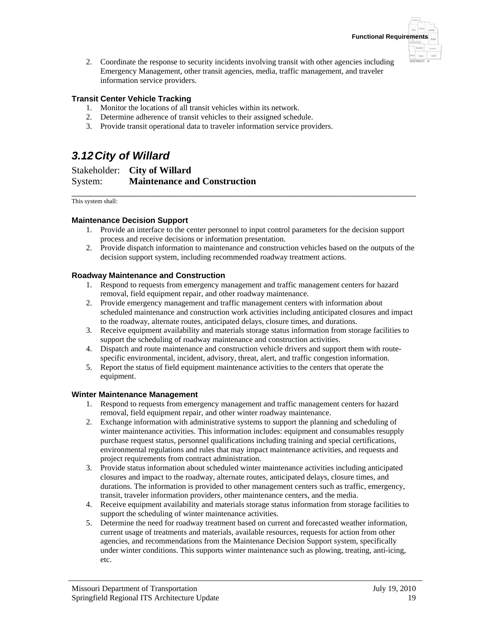**DISTRICT - 8**

2. Coordinate the response to security incidents involving transit with other agencies including Emergency Management, other transit agencies, media, traffic management, and traveler information service providers.

### **Transit Center Vehicle Tracking**

- 1. Monitor the locations of all transit vehicles within its network.
- 2. Determine adherence of transit vehicles to their assigned schedule.
- 3. Provide transit operational data to traveler information service providers.

# *3.12 City of Willard*

Stakeholder: **City of Willard** System: **Maintenance and Construction**

\_\_\_\_\_\_\_\_\_\_\_\_\_\_\_\_\_\_\_\_\_\_\_\_\_\_\_\_\_\_\_\_\_\_\_\_\_\_\_\_\_\_\_\_\_\_\_\_\_\_\_\_\_\_\_\_\_\_\_\_\_\_\_\_\_\_\_\_\_\_\_\_ This system shall:

### **Maintenance Decision Support**

- 1. Provide an interface to the center personnel to input control parameters for the decision support process and receive decisions or information presentation.
- 2. Provide dispatch information to maintenance and construction vehicles based on the outputs of the decision support system, including recommended roadway treatment actions.

### **Roadway Maintenance and Construction**

- 1. Respond to requests from emergency management and traffic management centers for hazard removal, field equipment repair, and other roadway maintenance.
- 2. Provide emergency management and traffic management centers with information about scheduled maintenance and construction work activities including anticipated closures and impact to the roadway, alternate routes, anticipated delays, closure times, and durations.
- 3. Receive equipment availability and materials storage status information from storage facilities to support the scheduling of roadway maintenance and construction activities.
- 4. Dispatch and route maintenance and construction vehicle drivers and support them with routespecific environmental, incident, advisory, threat, alert, and traffic congestion information.
- 5. Report the status of field equipment maintenance activities to the centers that operate the equipment.

### **Winter Maintenance Management**

- 1. Respond to requests from emergency management and traffic management centers for hazard removal, field equipment repair, and other winter roadway maintenance.
- 2. Exchange information with administrative systems to support the planning and scheduling of winter maintenance activities. This information includes: equipment and consumables resupply purchase request status, personnel qualifications including training and special certifications, environmental regulations and rules that may impact maintenance activities, and requests and project requirements from contract administration.
- 3. Provide status information about scheduled winter maintenance activities including anticipated closures and impact to the roadway, alternate routes, anticipated delays, closure times, and durations. The information is provided to other management centers such as traffic, emergency, transit, traveler information providers, other maintenance centers, and the media.
- 4. Receive equipment availability and materials storage status information from storage facilities to support the scheduling of winter maintenance activities.
- 5. Determine the need for roadway treatment based on current and forecasted weather information, current usage of treatments and materials, available resources, requests for action from other agencies, and recommendations from the Maintenance Decision Support system, specifically under winter conditions. This supports winter maintenance such as plowing, treating, anti-icing, etc.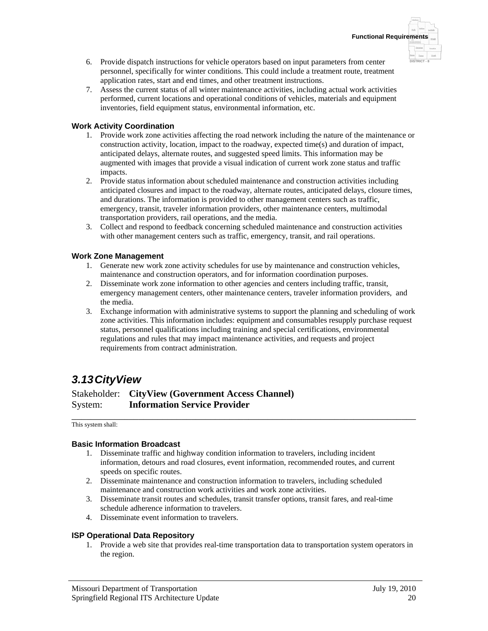- 6. Provide dispatch instructions for vehicle operators based on input parameters from center personnel, specifically for winter conditions. This could include a treatment route, treatment application rates, start and end times, and other treatment instructions.
- 7. Assess the current status of all winter maintenance activities, including actual work activities performed, current locations and operational conditions of vehicles, materials and equipment inventories, field equipment status, environmental information, etc.

### **Work Activity Coordination**

- 1. Provide work zone activities affecting the road network including the nature of the maintenance or construction activity, location, impact to the roadway, expected time(s) and duration of impact, anticipated delays, alternate routes, and suggested speed limits. This information may be augmented with images that provide a visual indication of current work zone status and traffic impacts.
- 2. Provide status information about scheduled maintenance and construction activities including anticipated closures and impact to the roadway, alternate routes, anticipated delays, closure times, and durations. The information is provided to other management centers such as traffic, emergency, transit, traveler information providers, other maintenance centers, multimodal transportation providers, rail operations, and the media.
- 3. Collect and respond to feedback concerning scheduled maintenance and construction activities with other management centers such as traffic, emergency, transit, and rail operations.

### **Work Zone Management**

- 1. Generate new work zone activity schedules for use by maintenance and construction vehicles, maintenance and construction operators, and for information coordination purposes.
- 2. Disseminate work zone information to other agencies and centers including traffic, transit, emergency management centers, other maintenance centers, traveler information providers, and the media.
- 3. Exchange information with administrative systems to support the planning and scheduling of work zone activities. This information includes: equipment and consumables resupply purchase request status, personnel qualifications including training and special certifications, environmental regulations and rules that may impact maintenance activities, and requests and project requirements from contract administration.

# *3.13 CityView*

Stakeholder: **CityView (Government Access Channel)** System: **Information Service Provider**

\_\_\_\_\_\_\_\_\_\_\_\_\_\_\_\_\_\_\_\_\_\_\_\_\_\_\_\_\_\_\_\_\_\_\_\_\_\_\_\_\_\_\_\_\_\_\_\_\_\_\_\_\_\_\_\_\_\_\_\_\_\_\_\_\_\_\_\_\_\_\_\_ This system shall:

### **Basic Information Broadcast**

- 1. Disseminate traffic and highway condition information to travelers, including incident information, detours and road closures, event information, recommended routes, and current speeds on specific routes.
- 2. Disseminate maintenance and construction information to travelers, including scheduled maintenance and construction work activities and work zone activities.
- 3. Disseminate transit routes and schedules, transit transfer options, transit fares, and real-time schedule adherence information to travelers.
- 4. Disseminate event information to travelers.

### **ISP Operational Data Repository**

1. Provide a web site that provides real-time transportation data to transportation system operators in the region.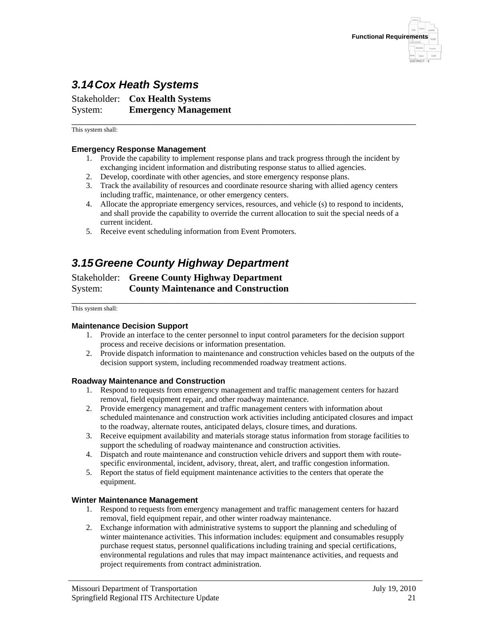

# *3.14 Cox Heath Systems*

Stakeholder: **Cox Health Systems** System: **Emergency Management**

This system shall:

### **Emergency Response Management**

1. Provide the capability to implement response plans and track progress through the incident by exchanging incident information and distributing response status to allied agencies.

\_\_\_\_\_\_\_\_\_\_\_\_\_\_\_\_\_\_\_\_\_\_\_\_\_\_\_\_\_\_\_\_\_\_\_\_\_\_\_\_\_\_\_\_\_\_\_\_\_\_\_\_\_\_\_\_\_\_\_\_\_\_\_\_\_\_\_\_\_\_\_\_

- 2. Develop, coordinate with other agencies, and store emergency response plans.
- 3. Track the availability of resources and coordinate resource sharing with allied agency centers including traffic, maintenance, or other emergency centers.
- 4. Allocate the appropriate emergency services, resources, and vehicle (s) to respond to incidents, and shall provide the capability to override the current allocation to suit the special needs of a current incident.
- 5. Receive event scheduling information from Event Promoters.

## *3.15 Greene County Highway Department*

Stakeholder: **Greene County Highway Department** System: **County Maintenance and Construction**

#### \_\_\_\_\_\_\_\_\_\_\_\_\_\_\_\_\_\_\_\_\_\_\_\_\_\_\_\_\_\_\_\_\_\_\_\_\_\_\_\_\_\_\_\_\_\_\_\_\_\_\_\_\_\_\_\_\_\_\_\_\_\_\_\_\_\_\_\_\_\_\_\_ This system shall:

#### **Maintenance Decision Support**

- 1. Provide an interface to the center personnel to input control parameters for the decision support process and receive decisions or information presentation.
- 2. Provide dispatch information to maintenance and construction vehicles based on the outputs of the decision support system, including recommended roadway treatment actions.

#### **Roadway Maintenance and Construction**

- 1. Respond to requests from emergency management and traffic management centers for hazard removal, field equipment repair, and other roadway maintenance.
- 2. Provide emergency management and traffic management centers with information about scheduled maintenance and construction work activities including anticipated closures and impact to the roadway, alternate routes, anticipated delays, closure times, and durations.
- 3. Receive equipment availability and materials storage status information from storage facilities to support the scheduling of roadway maintenance and construction activities.
- 4. Dispatch and route maintenance and construction vehicle drivers and support them with routespecific environmental, incident, advisory, threat, alert, and traffic congestion information.
- 5. Report the status of field equipment maintenance activities to the centers that operate the equipment.

#### **Winter Maintenance Management**

- 1. Respond to requests from emergency management and traffic management centers for hazard removal, field equipment repair, and other winter roadway maintenance.
- 2. Exchange information with administrative systems to support the planning and scheduling of winter maintenance activities. This information includes: equipment and consumables resupply purchase request status, personnel qualifications including training and special certifications, environmental regulations and rules that may impact maintenance activities, and requests and project requirements from contract administration.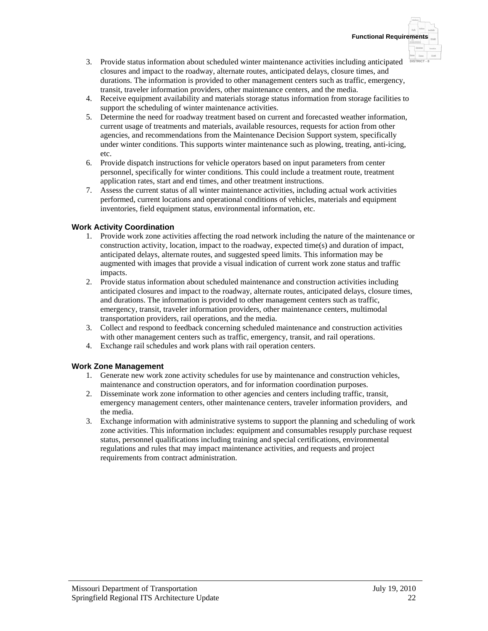- 3. Provide status information about scheduled winter maintenance activities including anticipated closures and impact to the roadway, alternate routes, anticipated delays, closure times, and durations. The information is provided to other management centers such as traffic, emergency, transit, traveler information providers, other maintenance centers, and the media.
- 4. Receive equipment availability and materials storage status information from storage facilities to support the scheduling of winter maintenance activities.
- 5. Determine the need for roadway treatment based on current and forecasted weather information, current usage of treatments and materials, available resources, requests for action from other agencies, and recommendations from the Maintenance Decision Support system, specifically under winter conditions. This supports winter maintenance such as plowing, treating, anti-icing, etc.
- 6. Provide dispatch instructions for vehicle operators based on input parameters from center personnel, specifically for winter conditions. This could include a treatment route, treatment application rates, start and end times, and other treatment instructions.
- 7. Assess the current status of all winter maintenance activities, including actual work activities performed, current locations and operational conditions of vehicles, materials and equipment inventories, field equipment status, environmental information, etc.

### **Work Activity Coordination**

- 1. Provide work zone activities affecting the road network including the nature of the maintenance or construction activity, location, impact to the roadway, expected time(s) and duration of impact, anticipated delays, alternate routes, and suggested speed limits. This information may be augmented with images that provide a visual indication of current work zone status and traffic impacts.
- 2. Provide status information about scheduled maintenance and construction activities including anticipated closures and impact to the roadway, alternate routes, anticipated delays, closure times, and durations. The information is provided to other management centers such as traffic, emergency, transit, traveler information providers, other maintenance centers, multimodal transportation providers, rail operations, and the media.
- 3. Collect and respond to feedback concerning scheduled maintenance and construction activities with other management centers such as traffic, emergency, transit, and rail operations.
- 4. Exchange rail schedules and work plans with rail operation centers.

### **Work Zone Management**

- 1. Generate new work zone activity schedules for use by maintenance and construction vehicles, maintenance and construction operators, and for information coordination purposes.
- 2. Disseminate work zone information to other agencies and centers including traffic, transit, emergency management centers, other maintenance centers, traveler information providers, and the media.
- 3. Exchange information with administrative systems to support the planning and scheduling of work zone activities. This information includes: equipment and consumables resupply purchase request status, personnel qualifications including training and special certifications, environmental regulations and rules that may impact maintenance activities, and requests and project requirements from contract administration.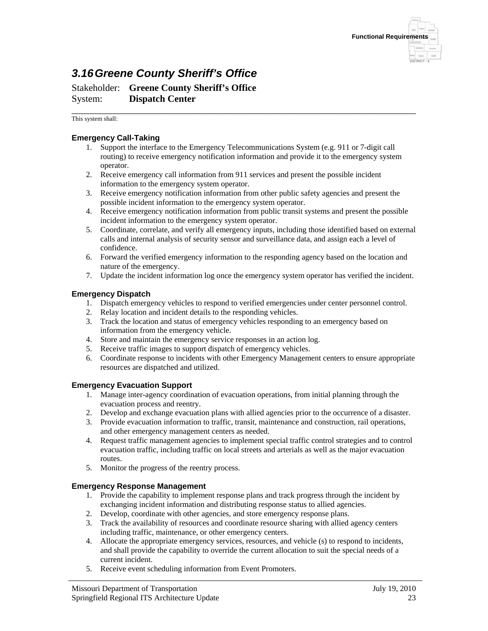

# *3.16 Greene County Sheriff's Office*

Stakeholder: **Greene County Sheriff's Office** System: **Dispatch Center**

\_\_\_\_\_\_\_\_\_\_\_\_\_\_\_\_\_\_\_\_\_\_\_\_\_\_\_\_\_\_\_\_\_\_\_\_\_\_\_\_\_\_\_\_\_\_\_\_\_\_\_\_\_\_\_\_\_\_\_\_\_\_\_\_\_\_\_\_\_\_\_\_ This system shall:

### **Emergency Call-Taking**

- 1. Support the interface to the Emergency Telecommunications System (e.g. 911 or 7-digit call routing) to receive emergency notification information and provide it to the emergency system operator.
- 2. Receive emergency call information from 911 services and present the possible incident information to the emergency system operator.
- 3. Receive emergency notification information from other public safety agencies and present the possible incident information to the emergency system operator.
- 4. Receive emergency notification information from public transit systems and present the possible incident information to the emergency system operator.
- 5. Coordinate, correlate, and verify all emergency inputs, including those identified based on external calls and internal analysis of security sensor and surveillance data, and assign each a level of confidence.
- 6. Forward the verified emergency information to the responding agency based on the location and nature of the emergency.
- 7. Update the incident information log once the emergency system operator has verified the incident.

### **Emergency Dispatch**

- 1. Dispatch emergency vehicles to respond to verified emergencies under center personnel control.
- 2. Relay location and incident details to the responding vehicles.
- 3. Track the location and status of emergency vehicles responding to an emergency based on information from the emergency vehicle.
- 4. Store and maintain the emergency service responses in an action log.
- 5. Receive traffic images to support dispatch of emergency vehicles.
- 6. Coordinate response to incidents with other Emergency Management centers to ensure appropriate resources are dispatched and utilized.

### **Emergency Evacuation Support**

- 1. Manage inter-agency coordination of evacuation operations, from initial planning through the evacuation process and reentry.
- 2. Develop and exchange evacuation plans with allied agencies prior to the occurrence of a disaster.
- 3. Provide evacuation information to traffic, transit, maintenance and construction, rail operations, and other emergency management centers as needed.
- 4. Request traffic management agencies to implement special traffic control strategies and to control evacuation traffic, including traffic on local streets and arterials as well as the major evacuation routes.
- 5. Monitor the progress of the reentry process.

### **Emergency Response Management**

- 1. Provide the capability to implement response plans and track progress through the incident by exchanging incident information and distributing response status to allied agencies.
- 2. Develop, coordinate with other agencies, and store emergency response plans.
- 3. Track the availability of resources and coordinate resource sharing with allied agency centers including traffic, maintenance, or other emergency centers.
- 4. Allocate the appropriate emergency services, resources, and vehicle (s) to respond to incidents, and shall provide the capability to override the current allocation to suit the special needs of a current incident.
- 5. Receive event scheduling information from Event Promoters.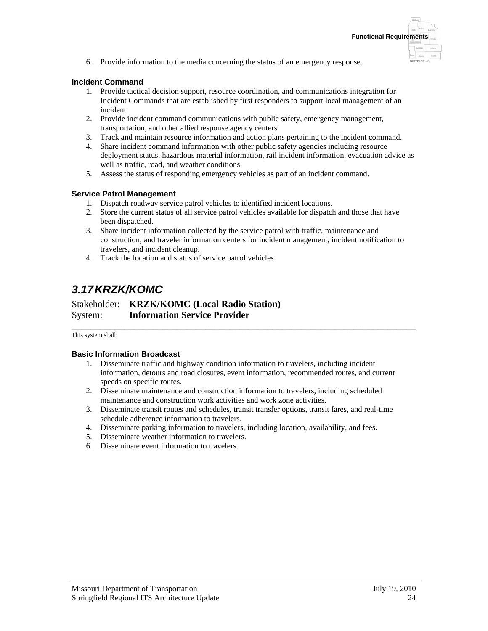6. Provide information to the media concerning the status of an emergency response.

### **Incident Command**

- 1. Provide tactical decision support, resource coordination, and communications integration for Incident Commands that are established by first responders to support local management of an incident.
- 2. Provide incident command communications with public safety, emergency management, transportation, and other allied response agency centers.
- 3. Track and maintain resource information and action plans pertaining to the incident command.
- 4. Share incident command information with other public safety agencies including resource deployment status, hazardous material information, rail incident information, evacuation advice as well as traffic, road, and weather conditions.
- 5. Assess the status of responding emergency vehicles as part of an incident command.

### **Service Patrol Management**

- 1. Dispatch roadway service patrol vehicles to identified incident locations.
- 2. Store the current status of all service patrol vehicles available for dispatch and those that have been dispatched.
- 3. Share incident information collected by the service patrol with traffic, maintenance and construction, and traveler information centers for incident management, incident notification to travelers, and incident cleanup.
- 4. Track the location and status of service patrol vehicles.

# *3.17 KRZK/KOMC*

Stakeholder: **KRZK/KOMC (Local Radio Station)** System: **Information Service Provider**

\_\_\_\_\_\_\_\_\_\_\_\_\_\_\_\_\_\_\_\_\_\_\_\_\_\_\_\_\_\_\_\_\_\_\_\_\_\_\_\_\_\_\_\_\_\_\_\_\_\_\_\_\_\_\_\_\_\_\_\_\_\_\_\_\_\_\_\_\_\_\_\_ This system shall:

### **Basic Information Broadcast**

- 1. Disseminate traffic and highway condition information to travelers, including incident information, detours and road closures, event information, recommended routes, and current speeds on specific routes.
- 2. Disseminate maintenance and construction information to travelers, including scheduled maintenance and construction work activities and work zone activities.
- 3. Disseminate transit routes and schedules, transit transfer options, transit fares, and real-time schedule adherence information to travelers.
- 4. Disseminate parking information to travelers, including location, availability, and fees.
- 5. Disseminate weather information to travelers.
- 6. Disseminate event information to travelers.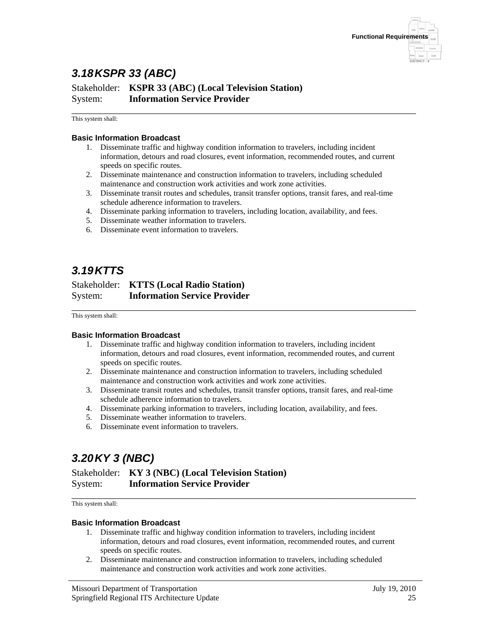

# *3.18 KSPR 33 (ABC)*

Stakeholder: **KSPR 33 (ABC) (Local Television Station)** System: **Information Service Provider**

\_\_\_\_\_\_\_\_\_\_\_\_\_\_\_\_\_\_\_\_\_\_\_\_\_\_\_\_\_\_\_\_\_\_\_\_\_\_\_\_\_\_\_\_\_\_\_\_\_\_\_\_\_\_\_\_\_\_\_\_\_\_\_\_\_\_\_\_\_\_\_\_ This system shall:

### **Basic Information Broadcast**

- 1. Disseminate traffic and highway condition information to travelers, including incident information, detours and road closures, event information, recommended routes, and current speeds on specific routes.
- 2. Disseminate maintenance and construction information to travelers, including scheduled maintenance and construction work activities and work zone activities.
- 3. Disseminate transit routes and schedules, transit transfer options, transit fares, and real-time schedule adherence information to travelers.
- 4. Disseminate parking information to travelers, including location, availability, and fees.
- 5. Disseminate weather information to travelers.
- 6. Disseminate event information to travelers.

## *3.19 KTTS*

### Stakeholder: **KTTS (Local Radio Station)** System: **Information Service Provider**

\_\_\_\_\_\_\_\_\_\_\_\_\_\_\_\_\_\_\_\_\_\_\_\_\_\_\_\_\_\_\_\_\_\_\_\_\_\_\_\_\_\_\_\_\_\_\_\_\_\_\_\_\_\_\_\_\_\_\_\_\_\_\_\_\_\_\_\_\_\_\_\_ This system shall:

#### **Basic Information Broadcast**

- 1. Disseminate traffic and highway condition information to travelers, including incident information, detours and road closures, event information, recommended routes, and current speeds on specific routes.
- 2. Disseminate maintenance and construction information to travelers, including scheduled maintenance and construction work activities and work zone activities.
- 3. Disseminate transit routes and schedules, transit transfer options, transit fares, and real-time schedule adherence information to travelers.
- 4. Disseminate parking information to travelers, including location, availability, and fees.
- 5. Disseminate weather information to travelers.
- 6. Disseminate event information to travelers.

# *3.20 KY 3 (NBC)*

### Stakeholder: **KY 3 (NBC) (Local Television Station)** System: **Information Service Provider**

\_\_\_\_\_\_\_\_\_\_\_\_\_\_\_\_\_\_\_\_\_\_\_\_\_\_\_\_\_\_\_\_\_\_\_\_\_\_\_\_\_\_\_\_\_\_\_\_\_\_\_\_\_\_\_\_\_\_\_\_\_\_\_\_\_\_\_\_\_\_\_\_ This system shall:

#### **Basic Information Broadcast**

- 1. Disseminate traffic and highway condition information to travelers, including incident information, detours and road closures, event information, recommended routes, and current speeds on specific routes.
- 2. Disseminate maintenance and construction information to travelers, including scheduled maintenance and construction work activities and work zone activities.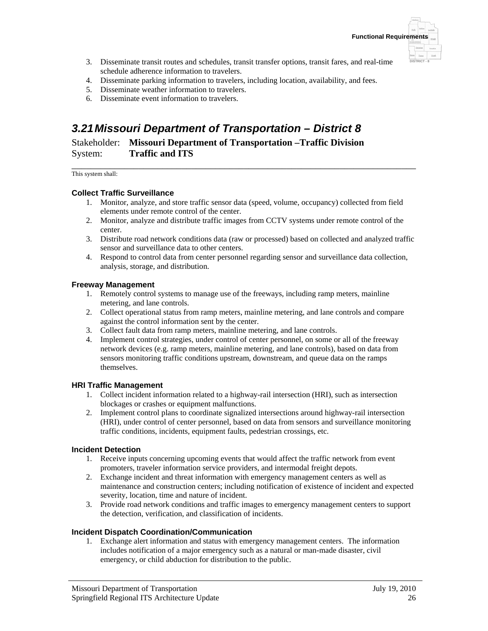

- 3. Disseminate transit routes and schedules, transit transfer options, transit fares, and real-time schedule adherence information to travelers.
- 4. Disseminate parking information to travelers, including location, availability, and fees.
- 5. Disseminate weather information to travelers.
- 6. Disseminate event information to travelers.

# *3.21 Missouri Department of Transportation – District 8*

Stakeholder: **Missouri Department of Transportation –Traffic Division** System: **Traffic and ITS**

\_\_\_\_\_\_\_\_\_\_\_\_\_\_\_\_\_\_\_\_\_\_\_\_\_\_\_\_\_\_\_\_\_\_\_\_\_\_\_\_\_\_\_\_\_\_\_\_\_\_\_\_\_\_\_\_\_\_\_\_\_\_\_\_\_\_\_\_\_\_\_\_ This system shall:

### **Collect Traffic Surveillance**

- 1. Monitor, analyze, and store traffic sensor data (speed, volume, occupancy) collected from field elements under remote control of the center.
- 2. Monitor, analyze and distribute traffic images from CCTV systems under remote control of the center.
- 3. Distribute road network conditions data (raw or processed) based on collected and analyzed traffic sensor and surveillance data to other centers.
- 4. Respond to control data from center personnel regarding sensor and surveillance data collection, analysis, storage, and distribution.

### **Freeway Management**

- 1. Remotely control systems to manage use of the freeways, including ramp meters, mainline metering, and lane controls.
- 2. Collect operational status from ramp meters, mainline metering, and lane controls and compare against the control information sent by the center.
- 3. Collect fault data from ramp meters, mainline metering, and lane controls.
- 4. Implement control strategies, under control of center personnel, on some or all of the freeway network devices (e.g. ramp meters, mainline metering, and lane controls), based on data from sensors monitoring traffic conditions upstream, downstream, and queue data on the ramps themselves.

### **HRI Traffic Management**

- 1. Collect incident information related to a highway-rail intersection (HRI), such as intersection blockages or crashes or equipment malfunctions.
- 2. Implement control plans to coordinate signalized intersections around highway-rail intersection (HRI), under control of center personnel, based on data from sensors and surveillance monitoring traffic conditions, incidents, equipment faults, pedestrian crossings, etc.

### **Incident Detection**

- 1. Receive inputs concerning upcoming events that would affect the traffic network from event promoters, traveler information service providers, and intermodal freight depots.
- 2. Exchange incident and threat information with emergency management centers as well as maintenance and construction centers; including notification of existence of incident and expected severity, location, time and nature of incident.
- 3. Provide road network conditions and traffic images to emergency management centers to support the detection, verification, and classification of incidents.

### **Incident Dispatch Coordination/Communication**

1. Exchange alert information and status with emergency management centers. The information includes notification of a major emergency such as a natural or man-made disaster, civil emergency, or child abduction for distribution to the public.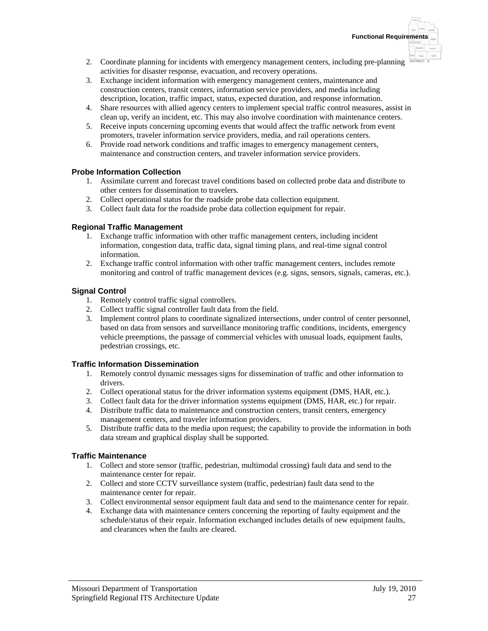- 2. Coordinate planning for incidents with emergency management centers, including pre-planning **DISTRICT-8** activities for disaster response, evacuation, and recovery operations.
- 3. Exchange incident information with emergency management centers, maintenance and construction centers, transit centers, information service providers, and media including description, location, traffic impact, status, expected duration, and response information.
- 4. Share resources with allied agency centers to implement special traffic control measures, assist in clean up, verify an incident, etc. This may also involve coordination with maintenance centers.
- 5. Receive inputs concerning upcoming events that would affect the traffic network from event promoters, traveler information service providers, media, and rail operations centers.
- 6. Provide road network conditions and traffic images to emergency management centers, maintenance and construction centers, and traveler information service providers.

### **Probe Information Collection**

- 1. Assimilate current and forecast travel conditions based on collected probe data and distribute to other centers for dissemination to travelers.
- 2. Collect operational status for the roadside probe data collection equipment.
- 3. Collect fault data for the roadside probe data collection equipment for repair.

### **Regional Traffic Management**

- 1. Exchange traffic information with other traffic management centers, including incident information, congestion data, traffic data, signal timing plans, and real-time signal control information.
- 2. Exchange traffic control information with other traffic management centers, includes remote monitoring and control of traffic management devices (e.g. signs, sensors, signals, cameras, etc.).

### **Signal Control**

- 1. Remotely control traffic signal controllers.
- 2. Collect traffic signal controller fault data from the field.
- 3. Implement control plans to coordinate signalized intersections, under control of center personnel, based on data from sensors and surveillance monitoring traffic conditions, incidents, emergency vehicle preemptions, the passage of commercial vehicles with unusual loads, equipment faults, pedestrian crossings, etc.

### **Traffic Information Dissemination**

- 1. Remotely control dynamic messages signs for dissemination of traffic and other information to drivers.
- 2. Collect operational status for the driver information systems equipment (DMS, HAR, etc.).
- 3. Collect fault data for the driver information systems equipment (DMS, HAR, etc.) for repair. 4. Distribute traffic data to maintenance and construction centers, transit centers, emergency
- management centers, and traveler information providers.
- 5. Distribute traffic data to the media upon request; the capability to provide the information in both data stream and graphical display shall be supported.

### **Traffic Maintenance**

- 1. Collect and store sensor (traffic, pedestrian, multimodal crossing) fault data and send to the maintenance center for repair.
- 2. Collect and store CCTV surveillance system (traffic, pedestrian) fault data send to the maintenance center for repair.
- 3. Collect environmental sensor equipment fault data and send to the maintenance center for repair.
- 4. Exchange data with maintenance centers concerning the reporting of faulty equipment and the schedule/status of their repair. Information exchanged includes details of new equipment faults, and clearances when the faults are cleared.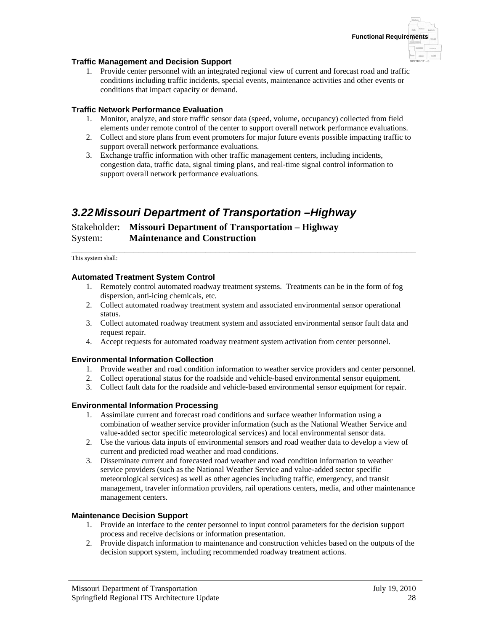

### **Traffic Management and Decision Support**

1. Provide center personnel with an integrated regional view of current and forecast road and traffic conditions including traffic incidents, special events, maintenance activities and other events or conditions that impact capacity or demand.

### **Traffic Network Performance Evaluation**

- 1. Monitor, analyze, and store traffic sensor data (speed, volume, occupancy) collected from field elements under remote control of the center to support overall network performance evaluations.
- 2. Collect and store plans from event promoters for major future events possible impacting traffic to support overall network performance evaluations.
- 3. Exchange traffic information with other traffic management centers, including incidents, congestion data, traffic data, signal timing plans, and real-time signal control information to support overall network performance evaluations.

## *3.22 Missouri Department of Transportation –Highway*

### Stakeholder: **Missouri Department of Transportation – Highway** System: **Maintenance and Construction**

\_\_\_\_\_\_\_\_\_\_\_\_\_\_\_\_\_\_\_\_\_\_\_\_\_\_\_\_\_\_\_\_\_\_\_\_\_\_\_\_\_\_\_\_\_\_\_\_\_\_\_\_\_\_\_\_\_\_\_\_\_\_\_\_\_\_\_\_\_\_\_\_ This system shall:

### **Automated Treatment System Control**

- 1. Remotely control automated roadway treatment systems. Treatments can be in the form of fog dispersion, anti-icing chemicals, etc.
- 2. Collect automated roadway treatment system and associated environmental sensor operational status.
- 3. Collect automated roadway treatment system and associated environmental sensor fault data and request repair.
- 4. Accept requests for automated roadway treatment system activation from center personnel.

### **Environmental Information Collection**

- 1. Provide weather and road condition information to weather service providers and center personnel.
- 2. Collect operational status for the roadside and vehicle-based environmental sensor equipment.
- 3. Collect fault data for the roadside and vehicle-based environmental sensor equipment for repair.

### **Environmental Information Processing**

- 1. Assimilate current and forecast road conditions and surface weather information using a combination of weather service provider information (such as the National Weather Service and value-added sector specific meteorological services) and local environmental sensor data.
- 2. Use the various data inputs of environmental sensors and road weather data to develop a view of current and predicted road weather and road conditions.
- 3. Disseminate current and forecasted road weather and road condition information to weather service providers (such as the National Weather Service and value-added sector specific meteorological services) as well as other agencies including traffic, emergency, and transit management, traveler information providers, rail operations centers, media, and other maintenance management centers.

### **Maintenance Decision Support**

- 1. Provide an interface to the center personnel to input control parameters for the decision support process and receive decisions or information presentation.
- 2. Provide dispatch information to maintenance and construction vehicles based on the outputs of the decision support system, including recommended roadway treatment actions.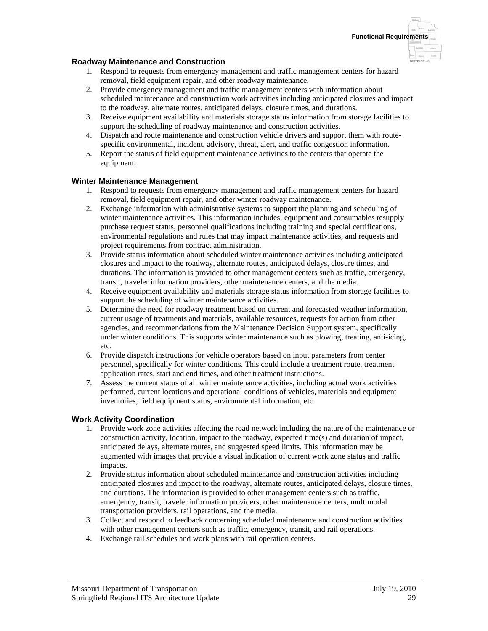

**DISTRICT - 8**

### **Roadway Maintenance and Construction**

- 1. Respond to requests from emergency management and traffic management centers for hazard removal, field equipment repair, and other roadway maintenance.
- 2. Provide emergency management and traffic management centers with information about scheduled maintenance and construction work activities including anticipated closures and impact to the roadway, alternate routes, anticipated delays, closure times, and durations.
- 3. Receive equipment availability and materials storage status information from storage facilities to support the scheduling of roadway maintenance and construction activities.
- 4. Dispatch and route maintenance and construction vehicle drivers and support them with routespecific environmental, incident, advisory, threat, alert, and traffic congestion information.
- 5. Report the status of field equipment maintenance activities to the centers that operate the equipment.

### **Winter Maintenance Management**

- 1. Respond to requests from emergency management and traffic management centers for hazard removal, field equipment repair, and other winter roadway maintenance.
- 2. Exchange information with administrative systems to support the planning and scheduling of winter maintenance activities. This information includes: equipment and consumables resupply purchase request status, personnel qualifications including training and special certifications, environmental regulations and rules that may impact maintenance activities, and requests and project requirements from contract administration.
- 3. Provide status information about scheduled winter maintenance activities including anticipated closures and impact to the roadway, alternate routes, anticipated delays, closure times, and durations. The information is provided to other management centers such as traffic, emergency, transit, traveler information providers, other maintenance centers, and the media.
- 4. Receive equipment availability and materials storage status information from storage facilities to support the scheduling of winter maintenance activities.
- 5. Determine the need for roadway treatment based on current and forecasted weather information, current usage of treatments and materials, available resources, requests for action from other agencies, and recommendations from the Maintenance Decision Support system, specifically under winter conditions. This supports winter maintenance such as plowing, treating, anti-icing, etc.
- 6. Provide dispatch instructions for vehicle operators based on input parameters from center personnel, specifically for winter conditions. This could include a treatment route, treatment application rates, start and end times, and other treatment instructions.
- 7. Assess the current status of all winter maintenance activities, including actual work activities performed, current locations and operational conditions of vehicles, materials and equipment inventories, field equipment status, environmental information, etc.

### **Work Activity Coordination**

- 1. Provide work zone activities affecting the road network including the nature of the maintenance or construction activity, location, impact to the roadway, expected time(s) and duration of impact, anticipated delays, alternate routes, and suggested speed limits. This information may be augmented with images that provide a visual indication of current work zone status and traffic impacts.
- 2. Provide status information about scheduled maintenance and construction activities including anticipated closures and impact to the roadway, alternate routes, anticipated delays, closure times, and durations. The information is provided to other management centers such as traffic, emergency, transit, traveler information providers, other maintenance centers, multimodal transportation providers, rail operations, and the media.
- 3. Collect and respond to feedback concerning scheduled maintenance and construction activities with other management centers such as traffic, emergency, transit, and rail operations.
- 4. Exchange rail schedules and work plans with rail operation centers.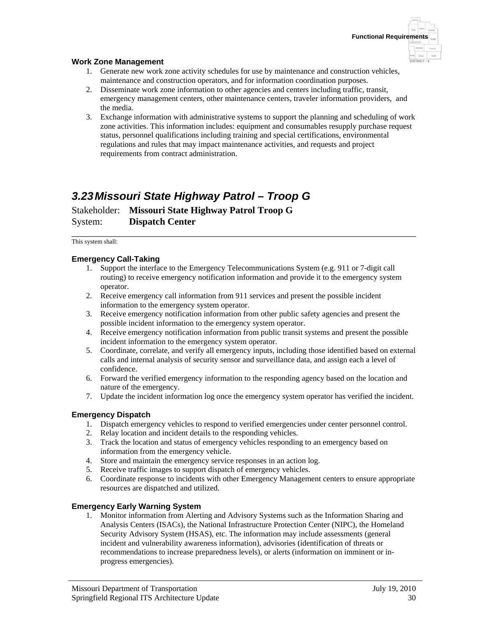### **Work Zone Management**

- 1. Generate new work zone activity schedules for use by maintenance and construction vehicles, maintenance and construction operators, and for information coordination purposes.
- 2. Disseminate work zone information to other agencies and centers including traffic, transit, emergency management centers, other maintenance centers, traveler information providers, and the media.
- 3. Exchange information with administrative systems to support the planning and scheduling of work zone activities. This information includes: equipment and consumables resupply purchase request status, personnel qualifications including training and special certifications, environmental regulations and rules that may impact maintenance activities, and requests and project requirements from contract administration.

## *3.23 Missouri State Highway Patrol – Troop G*

Stakeholder: **Missouri State Highway Patrol Troop G** System: **Dispatch Center**

\_\_\_\_\_\_\_\_\_\_\_\_\_\_\_\_\_\_\_\_\_\_\_\_\_\_\_\_\_\_\_\_\_\_\_\_\_\_\_\_\_\_\_\_\_\_\_\_\_\_\_\_\_\_\_\_\_\_\_\_\_\_\_\_\_\_\_\_\_\_\_\_ This system shall:

### **Emergency Call-Taking**

- 1. Support the interface to the Emergency Telecommunications System (e.g. 911 or 7-digit call routing) to receive emergency notification information and provide it to the emergency system operator.
- 2. Receive emergency call information from 911 services and present the possible incident information to the emergency system operator.
- 3. Receive emergency notification information from other public safety agencies and present the possible incident information to the emergency system operator.
- 4. Receive emergency notification information from public transit systems and present the possible incident information to the emergency system operator.
- 5. Coordinate, correlate, and verify all emergency inputs, including those identified based on external calls and internal analysis of security sensor and surveillance data, and assign each a level of confidence.
- 6. Forward the verified emergency information to the responding agency based on the location and nature of the emergency.
- 7. Update the incident information log once the emergency system operator has verified the incident.

#### **Emergency Dispatch**

- 1. Dispatch emergency vehicles to respond to verified emergencies under center personnel control.
- 2. Relay location and incident details to the responding vehicles.
- 3. Track the location and status of emergency vehicles responding to an emergency based on information from the emergency vehicle.
- 4. Store and maintain the emergency service responses in an action log.
- 5. Receive traffic images to support dispatch of emergency vehicles.
- 6. Coordinate response to incidents with other Emergency Management centers to ensure appropriate resources are dispatched and utilized.

#### **Emergency Early Warning System**

1. Monitor information from Alerting and Advisory Systems such as the Information Sharing and Analysis Centers (ISACs), the National Infrastructure Protection Center (NIPC), the Homeland Security Advisory System (HSAS), etc. The information may include assessments (general incident and vulnerability awareness information), advisories (identification of threats or recommendations to increase preparedness levels), or alerts (information on imminent or inprogress emergencies).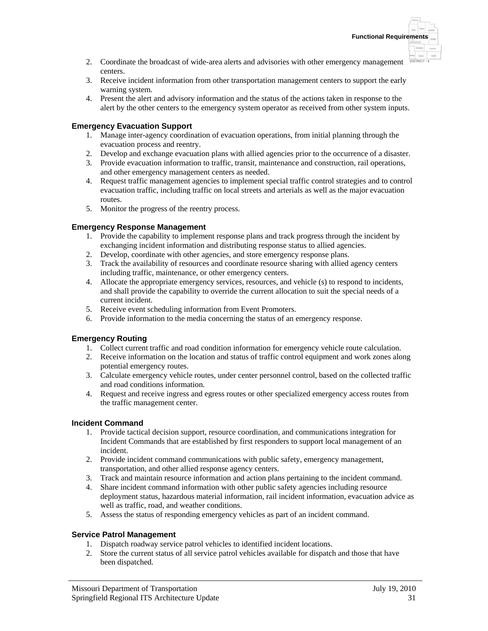- 2. Coordinate the broadcast of wide-area alerts and advisories with other emergency management centers.
- 3. Receive incident information from other transportation management centers to support the early warning system.
- 4. Present the alert and advisory information and the status of the actions taken in response to the alert by the other centers to the emergency system operator as received from other system inputs.

### **Emergency Evacuation Support**

- 1. Manage inter-agency coordination of evacuation operations, from initial planning through the evacuation process and reentry.
- 2. Develop and exchange evacuation plans with allied agencies prior to the occurrence of a disaster.
- 3. Provide evacuation information to traffic, transit, maintenance and construction, rail operations, and other emergency management centers as needed.
- 4. Request traffic management agencies to implement special traffic control strategies and to control evacuation traffic, including traffic on local streets and arterials as well as the major evacuation routes.
- 5. Monitor the progress of the reentry process.

### **Emergency Response Management**

- 1. Provide the capability to implement response plans and track progress through the incident by exchanging incident information and distributing response status to allied agencies.
- 2. Develop, coordinate with other agencies, and store emergency response plans.
- 3. Track the availability of resources and coordinate resource sharing with allied agency centers including traffic, maintenance, or other emergency centers.
- 4. Allocate the appropriate emergency services, resources, and vehicle (s) to respond to incidents, and shall provide the capability to override the current allocation to suit the special needs of a current incident.
- 5. Receive event scheduling information from Event Promoters.
- 6. Provide information to the media concerning the status of an emergency response.

### **Emergency Routing**

- 1. Collect current traffic and road condition information for emergency vehicle route calculation.
- 2. Receive information on the location and status of traffic control equipment and work zones along potential emergency routes.
- 3. Calculate emergency vehicle routes, under center personnel control, based on the collected traffic and road conditions information.
- 4. Request and receive ingress and egress routes or other specialized emergency access routes from the traffic management center.

### **Incident Command**

- 1. Provide tactical decision support, resource coordination, and communications integration for Incident Commands that are established by first responders to support local management of an incident.
- 2. Provide incident command communications with public safety, emergency management, transportation, and other allied response agency centers.
- 3. Track and maintain resource information and action plans pertaining to the incident command.
- 4. Share incident command information with other public safety agencies including resource deployment status, hazardous material information, rail incident information, evacuation advice as well as traffic, road, and weather conditions.
- 5. Assess the status of responding emergency vehicles as part of an incident command.

### **Service Patrol Management**

- 1. Dispatch roadway service patrol vehicles to identified incident locations.
- 2. Store the current status of all service patrol vehicles available for dispatch and those that have been dispatched.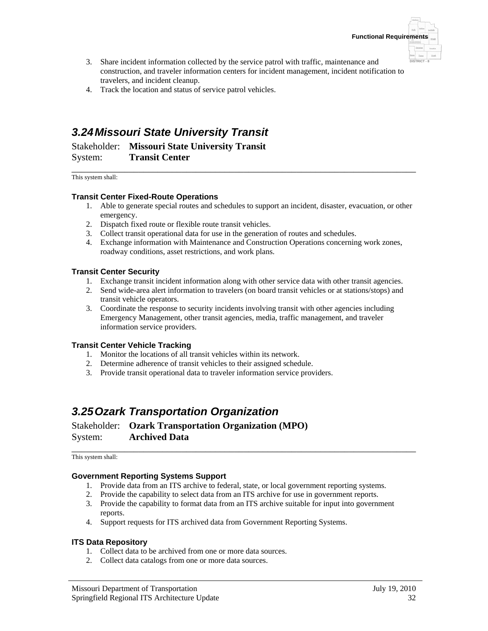

- 3. Share incident information collected by the service patrol with traffic, maintenance and construction, and traveler information centers for incident management, incident notification to travelers, and incident cleanup.
- 4. Track the location and status of service patrol vehicles.

# *3.24 Missouri State University Transit*

Stakeholder: **Missouri State University Transit** System: **Transit Center**

\_\_\_\_\_\_\_\_\_\_\_\_\_\_\_\_\_\_\_\_\_\_\_\_\_\_\_\_\_\_\_\_\_\_\_\_\_\_\_\_\_\_\_\_\_\_\_\_\_\_\_\_\_\_\_\_\_\_\_\_\_\_\_\_\_\_\_\_\_\_\_\_ This system shall:

### **Transit Center Fixed-Route Operations**

- 1. Able to generate special routes and schedules to support an incident, disaster, evacuation, or other emergency.
- 2. Dispatch fixed route or flexible route transit vehicles.
- 3. Collect transit operational data for use in the generation of routes and schedules.
- 4. Exchange information with Maintenance and Construction Operations concerning work zones, roadway conditions, asset restrictions, and work plans.

### **Transit Center Security**

- 1. Exchange transit incident information along with other service data with other transit agencies.
- 2. Send wide-area alert information to travelers (on board transit vehicles or at stations/stops) and transit vehicle operators.
- 3. Coordinate the response to security incidents involving transit with other agencies including Emergency Management, other transit agencies, media, traffic management, and traveler information service providers.

#### **Transit Center Vehicle Tracking**

- 1. Monitor the locations of all transit vehicles within its network.
- 2. Determine adherence of transit vehicles to their assigned schedule.
- 3. Provide transit operational data to traveler information service providers.

### *3.25 Ozark Transportation Organization*

Stakeholder: **Ozark Transportation Organization (MPO)** System: **Archived Data**

\_\_\_\_\_\_\_\_\_\_\_\_\_\_\_\_\_\_\_\_\_\_\_\_\_\_\_\_\_\_\_\_\_\_\_\_\_\_\_\_\_\_\_\_\_\_\_\_\_\_\_\_\_\_\_\_\_\_\_\_\_\_\_\_\_\_\_\_\_\_\_\_ This system shall:

#### **Government Reporting Systems Support**

- 1. Provide data from an ITS archive to federal, state, or local government reporting systems.
- 2. Provide the capability to select data from an ITS archive for use in government reports.
- 3. Provide the capability to format data from an ITS archive suitable for input into government reports.
- 4. Support requests for ITS archived data from Government Reporting Systems.

#### **ITS Data Repository**

- 1. Collect data to be archived from one or more data sources.
- 2. Collect data catalogs from one or more data sources.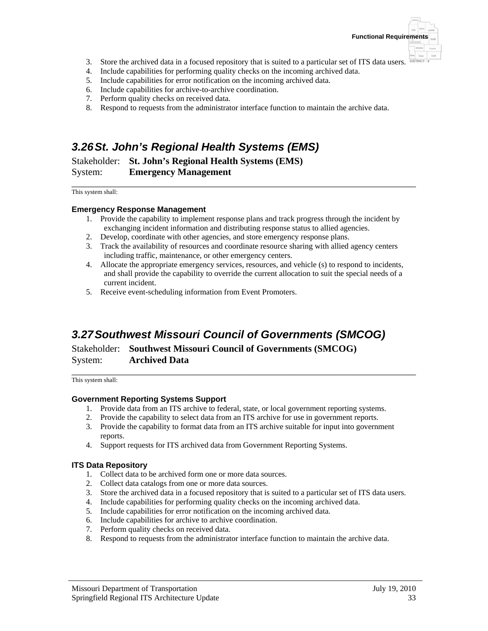

- 3. Store the archived data in a focused repository that is suited to a particular set of ITS data users.
- 4. Include capabilities for performing quality checks on the incoming archived data.
- 5. Include capabilities for error notification on the incoming archived data.
- 6. Include capabilities for archive-to-archive coordination.
- 7. Perform quality checks on received data.
- 8. Respond to requests from the administrator interface function to maintain the archive data.

# *3.26 St. John's Regional Health Systems (EMS)*

Stakeholder: **St. John's Regional Health Systems (EMS)** System: **Emergency Management**

\_\_\_\_\_\_\_\_\_\_\_\_\_\_\_\_\_\_\_\_\_\_\_\_\_\_\_\_\_\_\_\_\_\_\_\_\_\_\_\_\_\_\_\_\_\_\_\_\_\_\_\_\_\_\_\_\_\_\_\_\_\_\_\_\_\_\_\_\_\_\_\_ This system shall:

### **Emergency Response Management**

- 1. Provide the capability to implement response plans and track progress through the incident by exchanging incident information and distributing response status to allied agencies.
- 2. Develop, coordinate with other agencies, and store emergency response plans.
- 3. Track the availability of resources and coordinate resource sharing with allied agency centers including traffic, maintenance, or other emergency centers.
- 4. Allocate the appropriate emergency services, resources, and vehicle (s) to respond to incidents, and shall provide the capability to override the current allocation to suit the special needs of a current incident.
- 5. Receive event-scheduling information from Event Promoters.

# *3.27 Southwest Missouri Council of Governments (SMCOG)*

Stakeholder: **Southwest Missouri Council of Governments (SMCOG)** System: **Archived Data**

\_\_\_\_\_\_\_\_\_\_\_\_\_\_\_\_\_\_\_\_\_\_\_\_\_\_\_\_\_\_\_\_\_\_\_\_\_\_\_\_\_\_\_\_\_\_\_\_\_\_\_\_\_\_\_\_\_\_\_\_\_\_\_\_\_\_\_\_\_\_\_\_ This system shall:

### **Government Reporting Systems Support**

- 1. Provide data from an ITS archive to federal, state, or local government reporting systems.
- 2. Provide the capability to select data from an ITS archive for use in government reports.
- 3. Provide the capability to format data from an ITS archive suitable for input into government reports.
- 4. Support requests for ITS archived data from Government Reporting Systems.

### **ITS Data Repository**

- 1. Collect data to be archived form one or more data sources.
- 2. Collect data catalogs from one or more data sources.
- 3. Store the archived data in a focused repository that is suited to a particular set of ITS data users.
- 4. Include capabilities for performing quality checks on the incoming archived data.
- 5. Include capabilities for error notification on the incoming archived data.
- 6. Include capabilities for archive to archive coordination.
- 7. Perform quality checks on received data.
- 8. Respond to requests from the administrator interface function to maintain the archive data.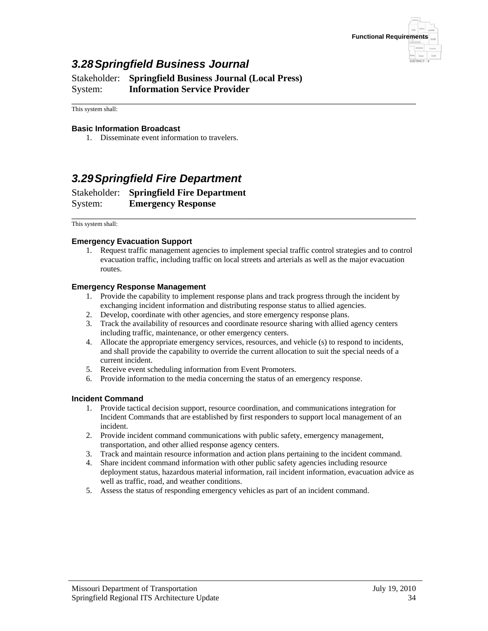

## *3.28 Springfield Business Journal*

Stakeholder: **Springfield Business Journal (Local Press)** System: **Information Service Provider**

\_\_\_\_\_\_\_\_\_\_\_\_\_\_\_\_\_\_\_\_\_\_\_\_\_\_\_\_\_\_\_\_\_\_\_\_\_\_\_\_\_\_\_\_\_\_\_\_\_\_\_\_\_\_\_\_\_\_\_\_\_\_\_\_\_\_\_\_\_\_\_\_ This system shall:

#### **Basic Information Broadcast**

1. Disseminate event information to travelers.

### *3.29 Springfield Fire Department*

Stakeholder: **Springfield Fire Department** System: **Emergency Response**

\_\_\_\_\_\_\_\_\_\_\_\_\_\_\_\_\_\_\_\_\_\_\_\_\_\_\_\_\_\_\_\_\_\_\_\_\_\_\_\_\_\_\_\_\_\_\_\_\_\_\_\_\_\_\_\_\_\_\_\_\_\_\_\_\_\_\_\_\_\_\_\_ This system shall:

#### **Emergency Evacuation Support**

1. Request traffic management agencies to implement special traffic control strategies and to control evacuation traffic, including traffic on local streets and arterials as well as the major evacuation routes.

### **Emergency Response Management**

- 1. Provide the capability to implement response plans and track progress through the incident by exchanging incident information and distributing response status to allied agencies.
- 2. Develop, coordinate with other agencies, and store emergency response plans.
- 3. Track the availability of resources and coordinate resource sharing with allied agency centers including traffic, maintenance, or other emergency centers.
- 4. Allocate the appropriate emergency services, resources, and vehicle (s) to respond to incidents, and shall provide the capability to override the current allocation to suit the special needs of a current incident.
- 5. Receive event scheduling information from Event Promoters.
- 6. Provide information to the media concerning the status of an emergency response.

#### **Incident Command**

- 1. Provide tactical decision support, resource coordination, and communications integration for Incident Commands that are established by first responders to support local management of an incident.
- 2. Provide incident command communications with public safety, emergency management, transportation, and other allied response agency centers.
- 3. Track and maintain resource information and action plans pertaining to the incident command.
- 4. Share incident command information with other public safety agencies including resource deployment status, hazardous material information, rail incident information, evacuation advice as well as traffic, road, and weather conditions.
- 5. Assess the status of responding emergency vehicles as part of an incident command.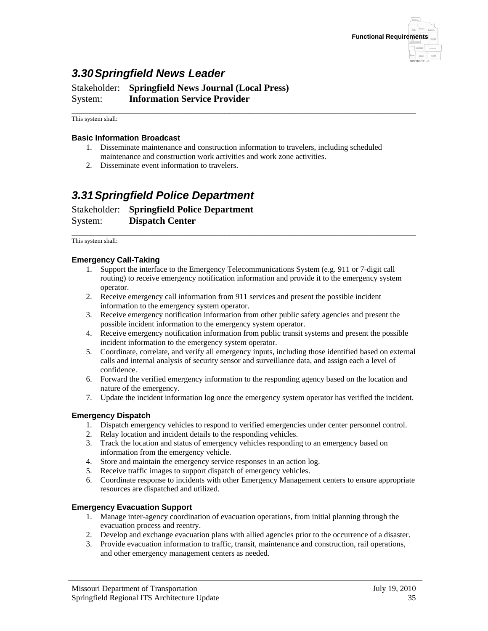

# *3.30 Springfield News Leader*

Stakeholder: **Springfield News Journal (Local Press)** System: **Information Service Provider**

\_\_\_\_\_\_\_\_\_\_\_\_\_\_\_\_\_\_\_\_\_\_\_\_\_\_\_\_\_\_\_\_\_\_\_\_\_\_\_\_\_\_\_\_\_\_\_\_\_\_\_\_\_\_\_\_\_\_\_\_\_\_\_\_\_\_\_\_\_\_\_\_ This system shall:

#### **Basic Information Broadcast**

- 1. Disseminate maintenance and construction information to travelers, including scheduled maintenance and construction work activities and work zone activities.
- 2. Disseminate event information to travelers.

## *3.31 Springfield Police Department*

Stakeholder: **Springfield Police Department** System: **Dispatch Center**

\_\_\_\_\_\_\_\_\_\_\_\_\_\_\_\_\_\_\_\_\_\_\_\_\_\_\_\_\_\_\_\_\_\_\_\_\_\_\_\_\_\_\_\_\_\_\_\_\_\_\_\_\_\_\_\_\_\_\_\_\_\_\_\_\_\_\_\_\_\_\_\_ This system shall:

### **Emergency Call-Taking**

- 1. Support the interface to the Emergency Telecommunications System (e.g. 911 or 7-digit call routing) to receive emergency notification information and provide it to the emergency system operator.
- 2. Receive emergency call information from 911 services and present the possible incident information to the emergency system operator.
- 3. Receive emergency notification information from other public safety agencies and present the possible incident information to the emergency system operator.
- 4. Receive emergency notification information from public transit systems and present the possible incident information to the emergency system operator.
- 5. Coordinate, correlate, and verify all emergency inputs, including those identified based on external calls and internal analysis of security sensor and surveillance data, and assign each a level of confidence.
- 6. Forward the verified emergency information to the responding agency based on the location and nature of the emergency.
- 7. Update the incident information log once the emergency system operator has verified the incident.

#### **Emergency Dispatch**

- 1. Dispatch emergency vehicles to respond to verified emergencies under center personnel control.
- 2. Relay location and incident details to the responding vehicles.
- 3. Track the location and status of emergency vehicles responding to an emergency based on information from the emergency vehicle.
- 4. Store and maintain the emergency service responses in an action log.
- 5. Receive traffic images to support dispatch of emergency vehicles.
- 6. Coordinate response to incidents with other Emergency Management centers to ensure appropriate resources are dispatched and utilized.

#### **Emergency Evacuation Support**

- 1. Manage inter-agency coordination of evacuation operations, from initial planning through the evacuation process and reentry.
- 2. Develop and exchange evacuation plans with allied agencies prior to the occurrence of a disaster.
- 3. Provide evacuation information to traffic, transit, maintenance and construction, rail operations, and other emergency management centers as needed.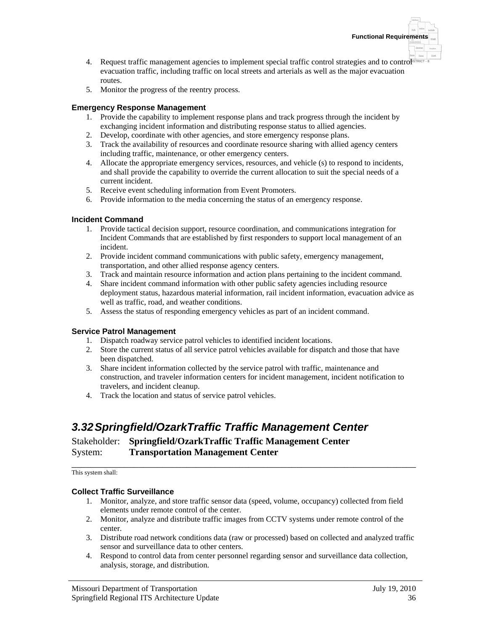

- 4. Request traffic management agencies to implement special traffic control strategies and to control<sup>s relection</sup> evacuation traffic, including traffic on local streets and arterials as well as the major evacuation routes.
- 5. Monitor the progress of the reentry process.

### **Emergency Response Management**

- 1. Provide the capability to implement response plans and track progress through the incident by exchanging incident information and distributing response status to allied agencies.
- 2. Develop, coordinate with other agencies, and store emergency response plans.
- 3. Track the availability of resources and coordinate resource sharing with allied agency centers including traffic, maintenance, or other emergency centers.
- 4. Allocate the appropriate emergency services, resources, and vehicle (s) to respond to incidents, and shall provide the capability to override the current allocation to suit the special needs of a current incident.
- 5. Receive event scheduling information from Event Promoters.
- 6. Provide information to the media concerning the status of an emergency response.

### **Incident Command**

- 1. Provide tactical decision support, resource coordination, and communications integration for Incident Commands that are established by first responders to support local management of an incident.
- 2. Provide incident command communications with public safety, emergency management, transportation, and other allied response agency centers.
- 3. Track and maintain resource information and action plans pertaining to the incident command.
- 4. Share incident command information with other public safety agencies including resource deployment status, hazardous material information, rail incident information, evacuation advice as well as traffic, road, and weather conditions.
- 5. Assess the status of responding emergency vehicles as part of an incident command.

### **Service Patrol Management**

- 1. Dispatch roadway service patrol vehicles to identified incident locations.
- 2. Store the current status of all service patrol vehicles available for dispatch and those that have been dispatched.
- 3. Share incident information collected by the service patrol with traffic, maintenance and construction, and traveler information centers for incident management, incident notification to travelers, and incident cleanup.
- 4. Track the location and status of service patrol vehicles.

## *3.32 Springfield/OzarkTraffic Traffic Management Center*

### Stakeholder: **Springfield/OzarkTraffic Traffic Management Center** System: **Transportation Management Center**

\_\_\_\_\_\_\_\_\_\_\_\_\_\_\_\_\_\_\_\_\_\_\_\_\_\_\_\_\_\_\_\_\_\_\_\_\_\_\_\_\_\_\_\_\_\_\_\_\_\_\_\_\_\_\_\_\_\_\_\_\_\_\_\_\_\_\_\_\_\_\_\_ This system shall:

### **Collect Traffic Surveillance**

- 1. Monitor, analyze, and store traffic sensor data (speed, volume, occupancy) collected from field elements under remote control of the center.
- 2. Monitor, analyze and distribute traffic images from CCTV systems under remote control of the center.
- 3. Distribute road network conditions data (raw or processed) based on collected and analyzed traffic sensor and surveillance data to other centers.
- 4. Respond to control data from center personnel regarding sensor and surveillance data collection, analysis, storage, and distribution.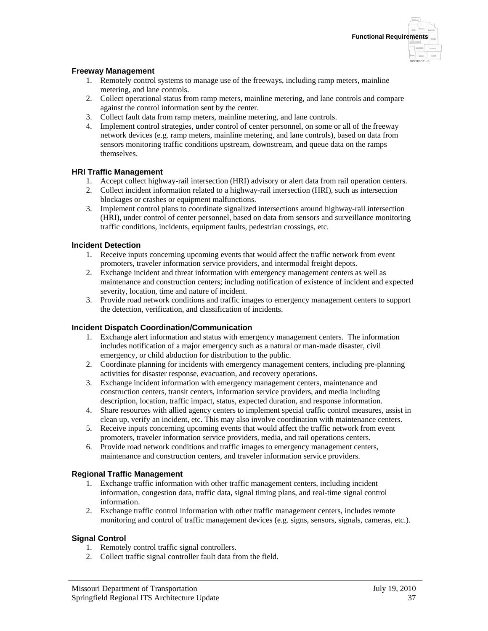### **Freeway Management**

- 1. Remotely control systems to manage use of the freeways, including ramp meters, mainline metering, and lane controls.
- 2. Collect operational status from ramp meters, mainline metering, and lane controls and compare against the control information sent by the center.
- 3. Collect fault data from ramp meters, mainline metering, and lane controls.
- 4. Implement control strategies, under control of center personnel, on some or all of the freeway network devices (e.g. ramp meters, mainline metering, and lane controls), based on data from sensors monitoring traffic conditions upstream, downstream, and queue data on the ramps themselves.

### **HRI Traffic Management**

- 1. Accept collect highway-rail intersection (HRI) advisory or alert data from rail operation centers.
- 2. Collect incident information related to a highway-rail intersection (HRI), such as intersection blockages or crashes or equipment malfunctions.
- 3. Implement control plans to coordinate signalized intersections around highway-rail intersection (HRI), under control of center personnel, based on data from sensors and surveillance monitoring traffic conditions, incidents, equipment faults, pedestrian crossings, etc.

### **Incident Detection**

- 1. Receive inputs concerning upcoming events that would affect the traffic network from event promoters, traveler information service providers, and intermodal freight depots.
- 2. Exchange incident and threat information with emergency management centers as well as maintenance and construction centers; including notification of existence of incident and expected severity, location, time and nature of incident.
- 3. Provide road network conditions and traffic images to emergency management centers to support the detection, verification, and classification of incidents.

### **Incident Dispatch Coordination/Communication**

- 1. Exchange alert information and status with emergency management centers. The information includes notification of a major emergency such as a natural or man-made disaster, civil emergency, or child abduction for distribution to the public.
- 2. Coordinate planning for incidents with emergency management centers, including pre-planning activities for disaster response, evacuation, and recovery operations.
- 3. Exchange incident information with emergency management centers, maintenance and construction centers, transit centers, information service providers, and media including description, location, traffic impact, status, expected duration, and response information.
- 4. Share resources with allied agency centers to implement special traffic control measures, assist in clean up, verify an incident, etc. This may also involve coordination with maintenance centers.
- 5. Receive inputs concerning upcoming events that would affect the traffic network from event promoters, traveler information service providers, media, and rail operations centers.
- 6. Provide road network conditions and traffic images to emergency management centers, maintenance and construction centers, and traveler information service providers.

#### **Regional Traffic Management**

- 1. Exchange traffic information with other traffic management centers, including incident information, congestion data, traffic data, signal timing plans, and real-time signal control information.
- 2. Exchange traffic control information with other traffic management centers, includes remote monitoring and control of traffic management devices (e.g. signs, sensors, signals, cameras, etc.).

#### **Signal Control**

- 1. Remotely control traffic signal controllers.
- 2. Collect traffic signal controller fault data from the field.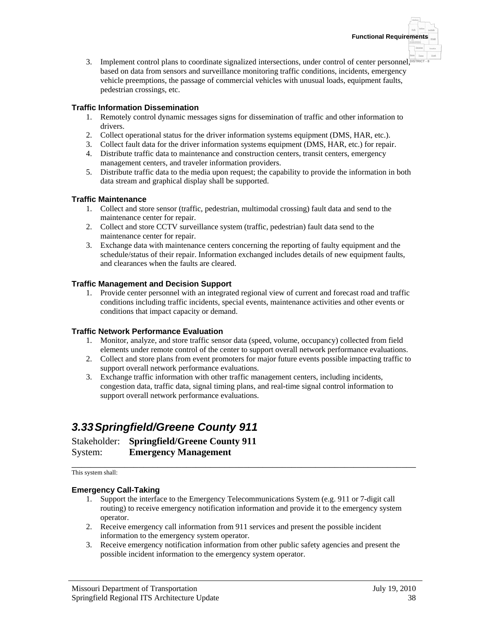3. Implement control plans to coordinate signalized intersections, under control of center personnel, **DISTRICT - 8** based on data from sensors and surveillance monitoring traffic conditions, incidents, emergency vehicle preemptions, the passage of commercial vehicles with unusual loads, equipment faults, pedestrian crossings, etc.

### **Traffic Information Dissemination**

- 1. Remotely control dynamic messages signs for dissemination of traffic and other information to drivers.
- 2. Collect operational status for the driver information systems equipment (DMS, HAR, etc.).
- 3. Collect fault data for the driver information systems equipment (DMS, HAR, etc.) for repair.
- 4. Distribute traffic data to maintenance and construction centers, transit centers, emergency management centers, and traveler information providers.
- 5. Distribute traffic data to the media upon request; the capability to provide the information in both data stream and graphical display shall be supported.

### **Traffic Maintenance**

- 1. Collect and store sensor (traffic, pedestrian, multimodal crossing) fault data and send to the maintenance center for repair.
- 2. Collect and store CCTV surveillance system (traffic, pedestrian) fault data send to the maintenance center for repair.
- 3. Exchange data with maintenance centers concerning the reporting of faulty equipment and the schedule/status of their repair. Information exchanged includes details of new equipment faults, and clearances when the faults are cleared.

### **Traffic Management and Decision Support**

1. Provide center personnel with an integrated regional view of current and forecast road and traffic conditions including traffic incidents, special events, maintenance activities and other events or conditions that impact capacity or demand.

### **Traffic Network Performance Evaluation**

- 1. Monitor, analyze, and store traffic sensor data (speed, volume, occupancy) collected from field elements under remote control of the center to support overall network performance evaluations.
- 2. Collect and store plans from event promoters for major future events possible impacting traffic to support overall network performance evaluations.
- 3. Exchange traffic information with other traffic management centers, including incidents, congestion data, traffic data, signal timing plans, and real-time signal control information to support overall network performance evaluations.

# *3.33 Springfield/Greene County 911*

Stakeholder: **Springfield/Greene County 911** System: **Emergency Management**

\_\_\_\_\_\_\_\_\_\_\_\_\_\_\_\_\_\_\_\_\_\_\_\_\_\_\_\_\_\_\_\_\_\_\_\_\_\_\_\_\_\_\_\_\_\_\_\_\_\_\_\_\_\_\_\_\_\_\_\_\_\_\_\_\_\_\_\_\_\_\_\_ This system shall:

### **Emergency Call-Taking**

- 1. Support the interface to the Emergency Telecommunications System (e.g. 911 or 7-digit call routing) to receive emergency notification information and provide it to the emergency system operator.
- 2. Receive emergency call information from 911 services and present the possible incident information to the emergency system operator.
- 3. Receive emergency notification information from other public safety agencies and present the possible incident information to the emergency system operator.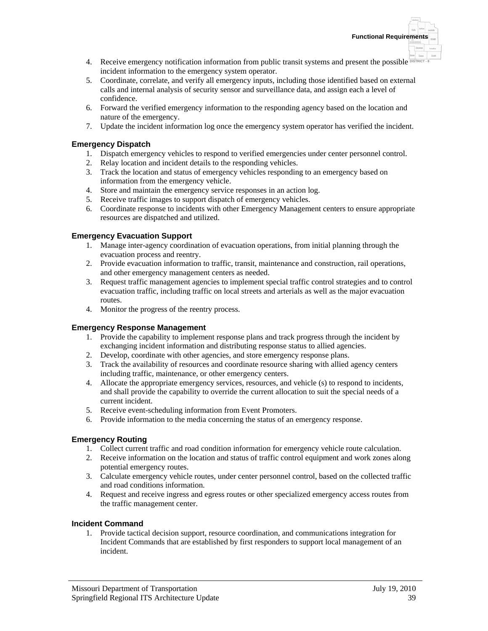- 4. Receive emergency notification information from public transit systems and present the possible **DISTRICT 8** incident information to the emergency system operator.
- 5. Coordinate, correlate, and verify all emergency inputs, including those identified based on external calls and internal analysis of security sensor and surveillance data, and assign each a level of confidence.
- 6. Forward the verified emergency information to the responding agency based on the location and nature of the emergency.
- 7. Update the incident information log once the emergency system operator has verified the incident.

### **Emergency Dispatch**

- 1. Dispatch emergency vehicles to respond to verified emergencies under center personnel control.
- 2. Relay location and incident details to the responding vehicles.
- 3. Track the location and status of emergency vehicles responding to an emergency based on information from the emergency vehicle.
- 4. Store and maintain the emergency service responses in an action log.
- 5. Receive traffic images to support dispatch of emergency vehicles.
- 6. Coordinate response to incidents with other Emergency Management centers to ensure appropriate resources are dispatched and utilized.

### **Emergency Evacuation Support**

- 1. Manage inter-agency coordination of evacuation operations, from initial planning through the evacuation process and reentry.
- 2. Provide evacuation information to traffic, transit, maintenance and construction, rail operations, and other emergency management centers as needed.
- 3. Request traffic management agencies to implement special traffic control strategies and to control evacuation traffic, including traffic on local streets and arterials as well as the major evacuation routes.
- 4. Monitor the progress of the reentry process.

### **Emergency Response Management**

- 1. Provide the capability to implement response plans and track progress through the incident by exchanging incident information and distributing response status to allied agencies.
- 2. Develop, coordinate with other agencies, and store emergency response plans.
- 3. Track the availability of resources and coordinate resource sharing with allied agency centers including traffic, maintenance, or other emergency centers.
- 4. Allocate the appropriate emergency services, resources, and vehicle (s) to respond to incidents, and shall provide the capability to override the current allocation to suit the special needs of a current incident.
- 5. Receive event-scheduling information from Event Promoters.
- 6. Provide information to the media concerning the status of an emergency response.

### **Emergency Routing**

- 1. Collect current traffic and road condition information for emergency vehicle route calculation.
- 2. Receive information on the location and status of traffic control equipment and work zones along potential emergency routes.
- 3. Calculate emergency vehicle routes, under center personnel control, based on the collected traffic and road conditions information.
- 4. Request and receive ingress and egress routes or other specialized emergency access routes from the traffic management center.

### **Incident Command**

1. Provide tactical decision support, resource coordination, and communications integration for Incident Commands that are established by first responders to support local management of an incident.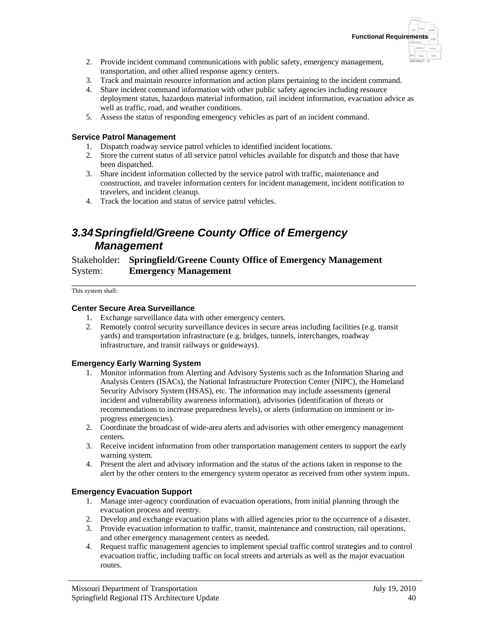- 2. Provide incident command communications with public safety, emergency management, transportation, and other allied response agency centers.
- 3. Track and maintain resource information and action plans pertaining to the incident command.
- 4. Share incident command information with other public safety agencies including resource deployment status, hazardous material information, rail incident information, evacuation advice as well as traffic, road, and weather conditions.
- 5. Assess the status of responding emergency vehicles as part of an incident command.

### **Service Patrol Management**

- 1. Dispatch roadway service patrol vehicles to identified incident locations.
- 2. Store the current status of all service patrol vehicles available for dispatch and those that have been dispatched.
- 3. Share incident information collected by the service patrol with traffic, maintenance and construction, and traveler information centers for incident management, incident notification to travelers, and incident cleanup.
- 4. Track the location and status of service patrol vehicles.

# *3.34 Springfield/Greene County Office of Emergency Management*

### Stakeholder: **Springfield/Greene County Office of Emergency Management** System: **Emergency Management**

\_\_\_\_\_\_\_\_\_\_\_\_\_\_\_\_\_\_\_\_\_\_\_\_\_\_\_\_\_\_\_\_\_\_\_\_\_\_\_\_\_\_\_\_\_\_\_\_\_\_\_\_\_\_\_\_\_\_\_\_\_\_\_\_\_\_\_\_\_\_\_\_ This system shall:

### **Center Secure Area Surveillance**

- 1. Exchange surveillance data with other emergency centers.
- 2. Remotely control security surveillance devices in secure areas including facilities (e.g. transit yards) and transportation infrastructure (e.g. bridges, tunnels, interchanges, roadway infrastructure, and transit railways or guideways).

### **Emergency Early Warning System**

- 1. Monitor information from Alerting and Advisory Systems such as the Information Sharing and Analysis Centers (ISACs), the National Infrastructure Protection Center (NIPC), the Homeland Security Advisory System (HSAS), etc. The information may include assessments (general incident and vulnerability awareness information), advisories (identification of threats or recommendations to increase preparedness levels), or alerts (information on imminent or inprogress emergencies).
- 2. Coordinate the broadcast of wide-area alerts and advisories with other emergency management centers.
- 3. Receive incident information from other transportation management centers to support the early warning system.
- 4. Present the alert and advisory information and the status of the actions taken in response to the alert by the other centers to the emergency system operator as received from other system inputs.

### **Emergency Evacuation Support**

- 1. Manage inter-agency coordination of evacuation operations, from initial planning through the evacuation process and reentry.
- 2. Develop and exchange evacuation plans with allied agencies prior to the occurrence of a disaster.
- 3. Provide evacuation information to traffic, transit, maintenance and construction, rail operations, and other emergency management centers as needed.
- 4. Request traffic management agencies to implement special traffic control strategies and to control evacuation traffic, including traffic on local streets and arterials as well as the major evacuation routes.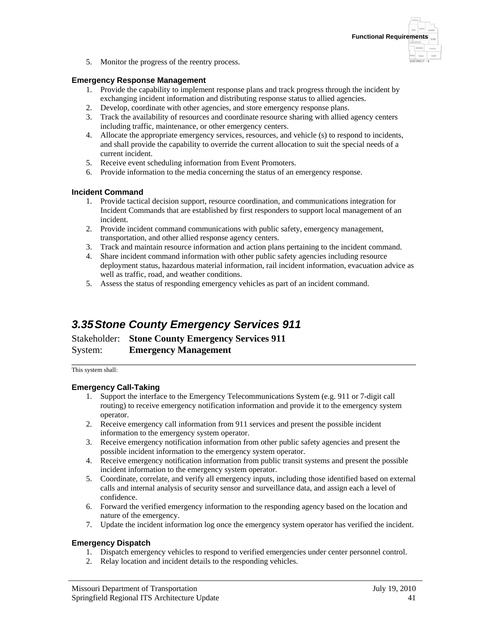

5. Monitor the progress of the reentry process.

#### **Emergency Response Management**

- 1. Provide the capability to implement response plans and track progress through the incident by exchanging incident information and distributing response status to allied agencies.
- 2. Develop, coordinate with other agencies, and store emergency response plans.
- 3. Track the availability of resources and coordinate resource sharing with allied agency centers including traffic, maintenance, or other emergency centers.
- 4. Allocate the appropriate emergency services, resources, and vehicle (s) to respond to incidents, and shall provide the capability to override the current allocation to suit the special needs of a current incident.
- 5. Receive event scheduling information from Event Promoters.
- 6. Provide information to the media concerning the status of an emergency response.

### **Incident Command**

- 1. Provide tactical decision support, resource coordination, and communications integration for Incident Commands that are established by first responders to support local management of an incident.
- 2. Provide incident command communications with public safety, emergency management, transportation, and other allied response agency centers.
- 3. Track and maintain resource information and action plans pertaining to the incident command.
- 4. Share incident command information with other public safety agencies including resource deployment status, hazardous material information, rail incident information, evacuation advice as well as traffic, road, and weather conditions.
- 5. Assess the status of responding emergency vehicles as part of an incident command.

# *3.35 Stone County Emergency Services 911*

Stakeholder: **Stone County Emergency Services 911** System: **Emergency Management**

\_\_\_\_\_\_\_\_\_\_\_\_\_\_\_\_\_\_\_\_\_\_\_\_\_\_\_\_\_\_\_\_\_\_\_\_\_\_\_\_\_\_\_\_\_\_\_\_\_\_\_\_\_\_\_\_\_\_\_\_\_\_\_\_\_\_\_\_\_\_\_\_ This system shall:

### **Emergency Call-Taking**

- 1. Support the interface to the Emergency Telecommunications System (e.g. 911 or 7-digit call routing) to receive emergency notification information and provide it to the emergency system operator.
- 2. Receive emergency call information from 911 services and present the possible incident information to the emergency system operator.
- 3. Receive emergency notification information from other public safety agencies and present the possible incident information to the emergency system operator.
- 4. Receive emergency notification information from public transit systems and present the possible incident information to the emergency system operator.
- 5. Coordinate, correlate, and verify all emergency inputs, including those identified based on external calls and internal analysis of security sensor and surveillance data, and assign each a level of confidence.
- 6. Forward the verified emergency information to the responding agency based on the location and nature of the emergency.
- 7. Update the incident information log once the emergency system operator has verified the incident.

### **Emergency Dispatch**

- 1. Dispatch emergency vehicles to respond to verified emergencies under center personnel control.
- 2. Relay location and incident details to the responding vehicles.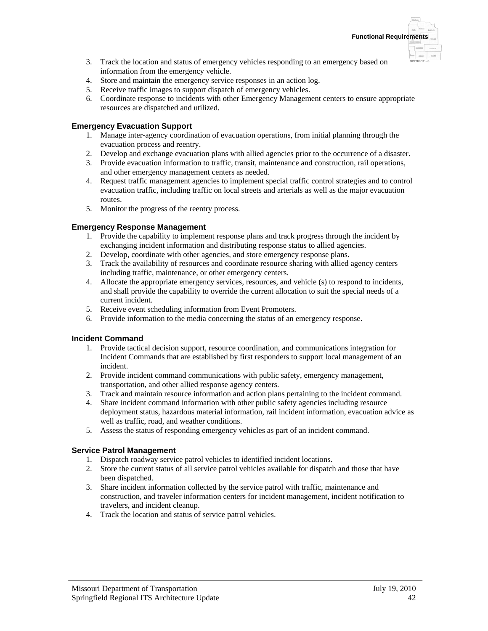- 3. Track the location and status of emergency vehicles responding to an emergency based on information from the emergency vehicle.
- 4. Store and maintain the emergency service responses in an action log.
- 5. Receive traffic images to support dispatch of emergency vehicles.
- 6. Coordinate response to incidents with other Emergency Management centers to ensure appropriate resources are dispatched and utilized.

### **Emergency Evacuation Support**

- 1. Manage inter-agency coordination of evacuation operations, from initial planning through the evacuation process and reentry.
- 2. Develop and exchange evacuation plans with allied agencies prior to the occurrence of a disaster.
- 3. Provide evacuation information to traffic, transit, maintenance and construction, rail operations, and other emergency management centers as needed.
- 4. Request traffic management agencies to implement special traffic control strategies and to control evacuation traffic, including traffic on local streets and arterials as well as the major evacuation routes.
- 5. Monitor the progress of the reentry process.

### **Emergency Response Management**

- 1. Provide the capability to implement response plans and track progress through the incident by exchanging incident information and distributing response status to allied agencies.
- 2. Develop, coordinate with other agencies, and store emergency response plans.
- 3. Track the availability of resources and coordinate resource sharing with allied agency centers including traffic, maintenance, or other emergency centers.
- 4. Allocate the appropriate emergency services, resources, and vehicle (s) to respond to incidents, and shall provide the capability to override the current allocation to suit the special needs of a current incident.
- 5. Receive event scheduling information from Event Promoters.
- 6. Provide information to the media concerning the status of an emergency response.

### **Incident Command**

- 1. Provide tactical decision support, resource coordination, and communications integration for Incident Commands that are established by first responders to support local management of an incident.
- 2. Provide incident command communications with public safety, emergency management, transportation, and other allied response agency centers.
- 3. Track and maintain resource information and action plans pertaining to the incident command.
- 4. Share incident command information with other public safety agencies including resource deployment status, hazardous material information, rail incident information, evacuation advice as well as traffic, road, and weather conditions.
- 5. Assess the status of responding emergency vehicles as part of an incident command.

### **Service Patrol Management**

- 1. Dispatch roadway service patrol vehicles to identified incident locations.
- 2. Store the current status of all service patrol vehicles available for dispatch and those that have been dispatched.
- 3. Share incident information collected by the service patrol with traffic, maintenance and construction, and traveler information centers for incident management, incident notification to travelers, and incident cleanup.
- 4. Track the location and status of service patrol vehicles.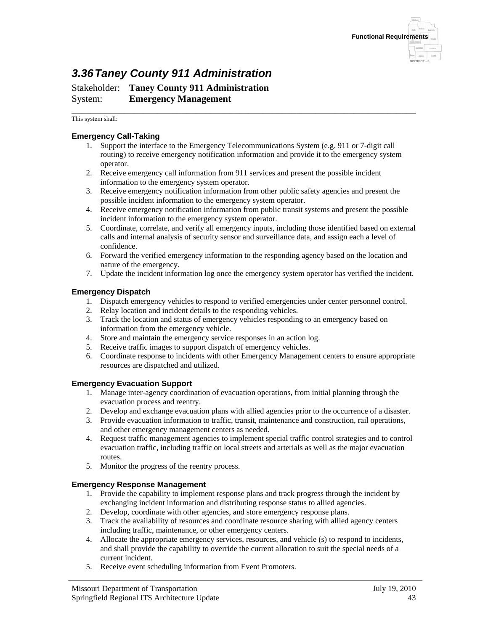

# *3.36 Taney County 911 Administration*

Stakeholder: **Taney County 911 Administration** System: **Emergency Management**

\_\_\_\_\_\_\_\_\_\_\_\_\_\_\_\_\_\_\_\_\_\_\_\_\_\_\_\_\_\_\_\_\_\_\_\_\_\_\_\_\_\_\_\_\_\_\_\_\_\_\_\_\_\_\_\_\_\_\_\_\_\_\_\_\_\_\_\_\_\_\_\_ This system shall:

### **Emergency Call-Taking**

- 1. Support the interface to the Emergency Telecommunications System (e.g. 911 or 7-digit call routing) to receive emergency notification information and provide it to the emergency system operator.
- 2. Receive emergency call information from 911 services and present the possible incident information to the emergency system operator.
- 3. Receive emergency notification information from other public safety agencies and present the possible incident information to the emergency system operator.
- 4. Receive emergency notification information from public transit systems and present the possible incident information to the emergency system operator.
- 5. Coordinate, correlate, and verify all emergency inputs, including those identified based on external calls and internal analysis of security sensor and surveillance data, and assign each a level of confidence.
- 6. Forward the verified emergency information to the responding agency based on the location and nature of the emergency.
- 7. Update the incident information log once the emergency system operator has verified the incident.

### **Emergency Dispatch**

- 1. Dispatch emergency vehicles to respond to verified emergencies under center personnel control.
- 2. Relay location and incident details to the responding vehicles.
- 3. Track the location and status of emergency vehicles responding to an emergency based on information from the emergency vehicle.
- 4. Store and maintain the emergency service responses in an action log.
- 5. Receive traffic images to support dispatch of emergency vehicles.
- 6. Coordinate response to incidents with other Emergency Management centers to ensure appropriate resources are dispatched and utilized.

#### **Emergency Evacuation Support**

- 1. Manage inter-agency coordination of evacuation operations, from initial planning through the evacuation process and reentry.
- 2. Develop and exchange evacuation plans with allied agencies prior to the occurrence of a disaster.
- 3. Provide evacuation information to traffic, transit, maintenance and construction, rail operations, and other emergency management centers as needed.
- 4. Request traffic management agencies to implement special traffic control strategies and to control evacuation traffic, including traffic on local streets and arterials as well as the major evacuation routes.
- 5. Monitor the progress of the reentry process.

#### **Emergency Response Management**

- 1. Provide the capability to implement response plans and track progress through the incident by exchanging incident information and distributing response status to allied agencies.
- 2. Develop, coordinate with other agencies, and store emergency response plans.
- 3. Track the availability of resources and coordinate resource sharing with allied agency centers including traffic, maintenance, or other emergency centers.
- 4. Allocate the appropriate emergency services, resources, and vehicle (s) to respond to incidents, and shall provide the capability to override the current allocation to suit the special needs of a current incident.
- 5. Receive event scheduling information from Event Promoters.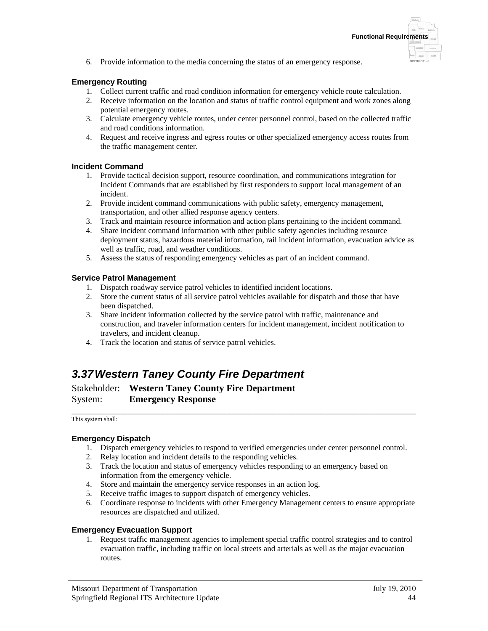6. Provide information to the media concerning the status of an emergency response.

### **Emergency Routing**

- 1. Collect current traffic and road condition information for emergency vehicle route calculation.
- 2. Receive information on the location and status of traffic control equipment and work zones along potential emergency routes.
- 3. Calculate emergency vehicle routes, under center personnel control, based on the collected traffic and road conditions information.
- 4. Request and receive ingress and egress routes or other specialized emergency access routes from the traffic management center.

### **Incident Command**

- 1. Provide tactical decision support, resource coordination, and communications integration for Incident Commands that are established by first responders to support local management of an incident.
- 2. Provide incident command communications with public safety, emergency management, transportation, and other allied response agency centers.
- 3. Track and maintain resource information and action plans pertaining to the incident command.
- 4. Share incident command information with other public safety agencies including resource deployment status, hazardous material information, rail incident information, evacuation advice as well as traffic, road, and weather conditions.
- 5. Assess the status of responding emergency vehicles as part of an incident command.

### **Service Patrol Management**

- 1. Dispatch roadway service patrol vehicles to identified incident locations.
- 2. Store the current status of all service patrol vehicles available for dispatch and those that have been dispatched.
- 3. Share incident information collected by the service patrol with traffic, maintenance and construction, and traveler information centers for incident management, incident notification to travelers, and incident cleanup.
- 4. Track the location and status of service patrol vehicles.

## *3.37 Western Taney County Fire Department*

Stakeholder: **Western Taney County Fire Department** System: **Emergency Response**

\_\_\_\_\_\_\_\_\_\_\_\_\_\_\_\_\_\_\_\_\_\_\_\_\_\_\_\_\_\_\_\_\_\_\_\_\_\_\_\_\_\_\_\_\_\_\_\_\_\_\_\_\_\_\_\_\_\_\_\_\_\_\_\_\_\_\_\_\_\_\_\_ This system shall:

### **Emergency Dispatch**

- 1. Dispatch emergency vehicles to respond to verified emergencies under center personnel control.
- 2. Relay location and incident details to the responding vehicles.
- 3. Track the location and status of emergency vehicles responding to an emergency based on information from the emergency vehicle.
- 4. Store and maintain the emergency service responses in an action log.
- 5. Receive traffic images to support dispatch of emergency vehicles.
- 6. Coordinate response to incidents with other Emergency Management centers to ensure appropriate resources are dispatched and utilized.

#### **Emergency Evacuation Support**

1. Request traffic management agencies to implement special traffic control strategies and to control evacuation traffic, including traffic on local streets and arterials as well as the major evacuation routes.